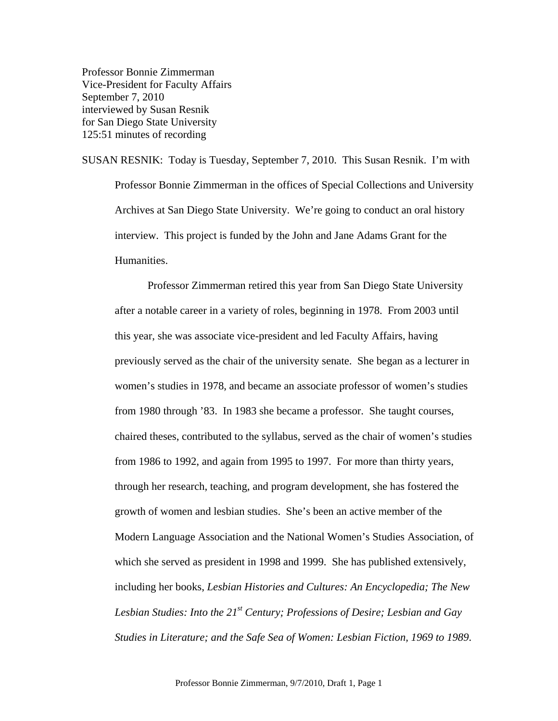Professor Bonnie Zimmerman Vice-President for Faculty Affairs September 7, 2010 interviewed by Susan Resnik for San Diego State University 125:51 minutes of recording

SUSAN RESNIK: Today is Tuesday, September 7, 2010. This Susan Resnik. I'm with Professor Bonnie Zimmerman in the offices of Special Collections and University Archives at San Diego State University. We're going to conduct an oral history interview. This project is funded by the John and Jane Adams Grant for the Humanities.

 Professor Zimmerman retired this year from San Diego State University after a notable career in a variety of roles, beginning in 1978. From 2003 until this year, she was associate vice-president and led Faculty Affairs, having previously served as the chair of the university senate. She began as a lecturer in women's studies in 1978, and became an associate professor of women's studies from 1980 through '83. In 1983 she became a professor. She taught courses, chaired theses, contributed to the syllabus, served as the chair of women's studies from 1986 to 1992, and again from 1995 to 1997. For more than thirty years, through her research, teaching, and program development, she has fostered the growth of women and lesbian studies. She's been an active member of the Modern Language Association and the National Women's Studies Association, of which she served as president in 1998 and 1999. She has published extensively, including her books, *Lesbian Histories and Cultures: An Encyclopedia; The New Lesbian Studies: Into the 21st Century; Professions of Desire; Lesbian and Gay Studies in Literature; and the Safe Sea of Women: Lesbian Fiction, 1969 to 1989*.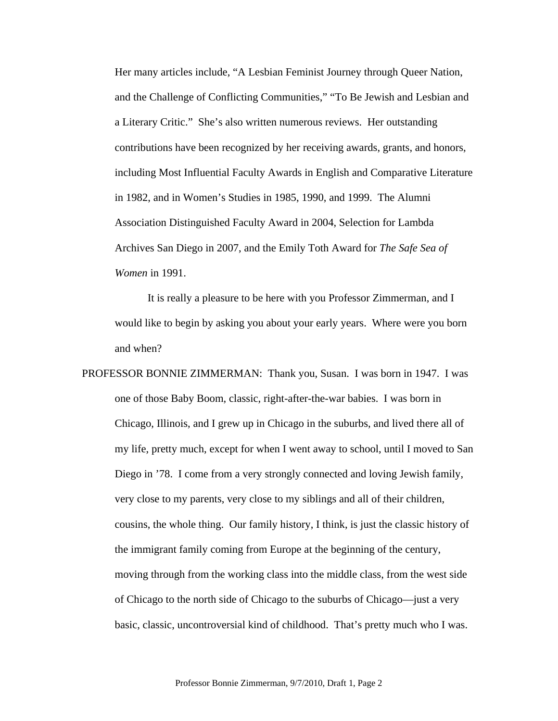Her many articles include, "A Lesbian Feminist Journey through Queer Nation, and the Challenge of Conflicting Communities," "To Be Jewish and Lesbian and a Literary Critic." She's also written numerous reviews. Her outstanding contributions have been recognized by her receiving awards, grants, and honors, including Most Influential Faculty Awards in English and Comparative Literature in 1982, and in Women's Studies in 1985, 1990, and 1999. The Alumni Association Distinguished Faculty Award in 2004, Selection for Lambda Archives San Diego in 2007, and the Emily Toth Award for *The Safe Sea of Women* in 1991.

 It is really a pleasure to be here with you Professor Zimmerman, and I would like to begin by asking you about your early years. Where were you born and when?

PROFESSOR BONNIE ZIMMERMAN: Thank you, Susan. I was born in 1947. I was one of those Baby Boom, classic, right-after-the-war babies. I was born in Chicago, Illinois, and I grew up in Chicago in the suburbs, and lived there all of my life, pretty much, except for when I went away to school, until I moved to San Diego in '78. I come from a very strongly connected and loving Jewish family, very close to my parents, very close to my siblings and all of their children, cousins, the whole thing. Our family history, I think, is just the classic history of the immigrant family coming from Europe at the beginning of the century, moving through from the working class into the middle class, from the west side of Chicago to the north side of Chicago to the suburbs of Chicago—just a very basic, classic, uncontroversial kind of childhood. That's pretty much who I was.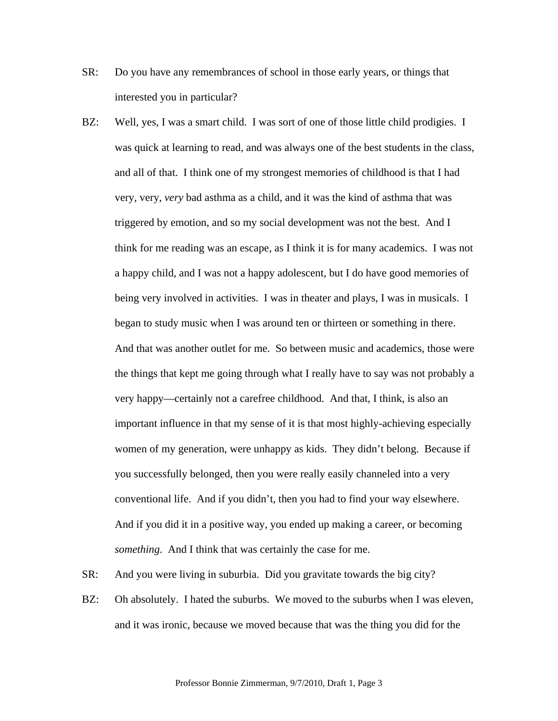- SR: Do you have any remembrances of school in those early years, or things that interested you in particular?
- BZ: Well, yes, I was a smart child. I was sort of one of those little child prodigies. I was quick at learning to read, and was always one of the best students in the class, and all of that. I think one of my strongest memories of childhood is that I had very, very, *very* bad asthma as a child, and it was the kind of asthma that was triggered by emotion, and so my social development was not the best. And I think for me reading was an escape, as I think it is for many academics. I was not a happy child, and I was not a happy adolescent, but I do have good memories of being very involved in activities. I was in theater and plays, I was in musicals. I began to study music when I was around ten or thirteen or something in there. And that was another outlet for me. So between music and academics, those were the things that kept me going through what I really have to say was not probably a very happy—certainly not a carefree childhood. And that, I think, is also an important influence in that my sense of it is that most highly-achieving especially women of my generation, were unhappy as kids. They didn't belong. Because if you successfully belonged, then you were really easily channeled into a very conventional life. And if you didn't, then you had to find your way elsewhere. And if you did it in a positive way, you ended up making a career, or becoming *something*. And I think that was certainly the case for me.
- SR: And you were living in suburbia. Did you gravitate towards the big city?
- BZ: Oh absolutely. I hated the suburbs. We moved to the suburbs when I was eleven, and it was ironic, because we moved because that was the thing you did for the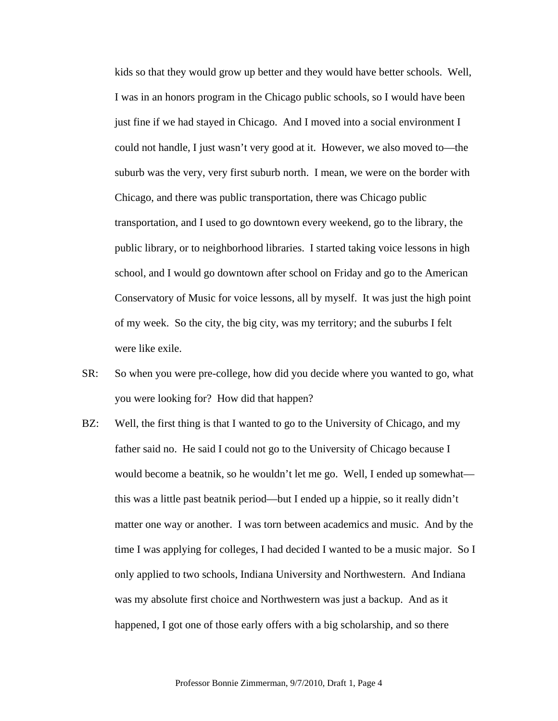kids so that they would grow up better and they would have better schools. Well, I was in an honors program in the Chicago public schools, so I would have been just fine if we had stayed in Chicago. And I moved into a social environment I could not handle, I just wasn't very good at it. However, we also moved to—the suburb was the very, very first suburb north. I mean, we were on the border with Chicago, and there was public transportation, there was Chicago public transportation, and I used to go downtown every weekend, go to the library, the public library, or to neighborhood libraries. I started taking voice lessons in high school, and I would go downtown after school on Friday and go to the American Conservatory of Music for voice lessons, all by myself. It was just the high point of my week. So the city, the big city, was my territory; and the suburbs I felt were like exile.

- SR: So when you were pre-college, how did you decide where you wanted to go, what you were looking for? How did that happen?
- BZ: Well, the first thing is that I wanted to go to the University of Chicago, and my father said no. He said I could not go to the University of Chicago because I would become a beatnik, so he wouldn't let me go. Well, I ended up somewhat this was a little past beatnik period—but I ended up a hippie, so it really didn't matter one way or another. I was torn between academics and music. And by the time I was applying for colleges, I had decided I wanted to be a music major. So I only applied to two schools, Indiana University and Northwestern. And Indiana was my absolute first choice and Northwestern was just a backup. And as it happened, I got one of those early offers with a big scholarship, and so there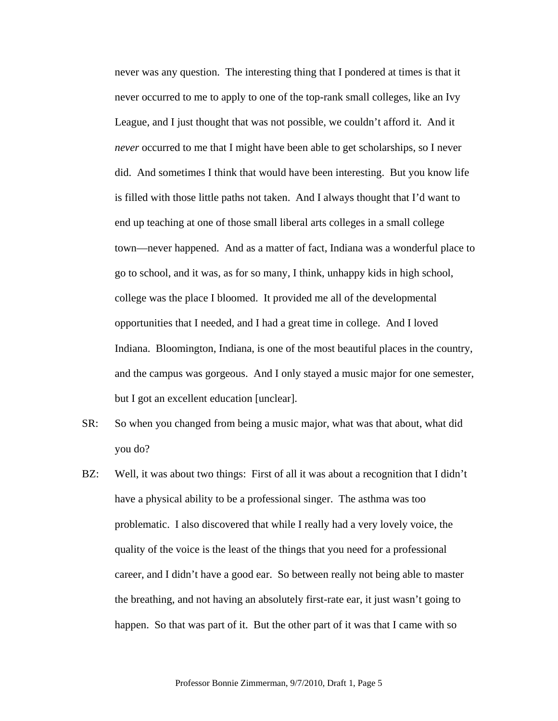never was any question. The interesting thing that I pondered at times is that it never occurred to me to apply to one of the top-rank small colleges, like an Ivy League, and I just thought that was not possible, we couldn't afford it. And it *never* occurred to me that I might have been able to get scholarships, so I never did. And sometimes I think that would have been interesting. But you know life is filled with those little paths not taken. And I always thought that I'd want to end up teaching at one of those small liberal arts colleges in a small college town—never happened. And as a matter of fact, Indiana was a wonderful place to go to school, and it was, as for so many, I think, unhappy kids in high school, college was the place I bloomed. It provided me all of the developmental opportunities that I needed, and I had a great time in college. And I loved Indiana. Bloomington, Indiana, is one of the most beautiful places in the country, and the campus was gorgeous. And I only stayed a music major for one semester, but I got an excellent education [unclear].

- SR: So when you changed from being a music major, what was that about, what did you do?
- BZ: Well, it was about two things: First of all it was about a recognition that I didn't have a physical ability to be a professional singer. The asthma was too problematic. I also discovered that while I really had a very lovely voice, the quality of the voice is the least of the things that you need for a professional career, and I didn't have a good ear. So between really not being able to master the breathing, and not having an absolutely first-rate ear, it just wasn't going to happen. So that was part of it. But the other part of it was that I came with so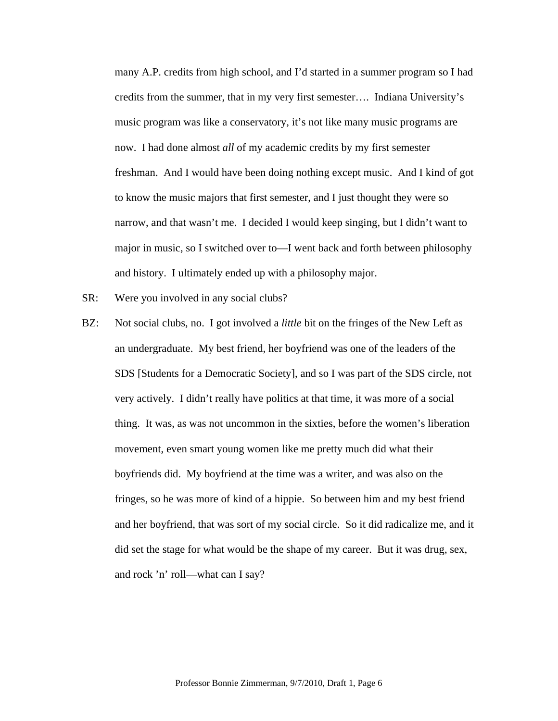many A.P. credits from high school, and I'd started in a summer program so I had credits from the summer, that in my very first semester…. Indiana University's music program was like a conservatory, it's not like many music programs are now. I had done almost *all* of my academic credits by my first semester freshman. And I would have been doing nothing except music. And I kind of got to know the music majors that first semester, and I just thought they were so narrow, and that wasn't me. I decided I would keep singing, but I didn't want to major in music, so I switched over to—I went back and forth between philosophy and history. I ultimately ended up with a philosophy major.

- SR: Were you involved in any social clubs?
- BZ: Not social clubs, no. I got involved a *little* bit on the fringes of the New Left as an undergraduate. My best friend, her boyfriend was one of the leaders of the SDS [Students for a Democratic Society], and so I was part of the SDS circle, not very actively. I didn't really have politics at that time, it was more of a social thing. It was, as was not uncommon in the sixties, before the women's liberation movement, even smart young women like me pretty much did what their boyfriends did. My boyfriend at the time was a writer, and was also on the fringes, so he was more of kind of a hippie. So between him and my best friend and her boyfriend, that was sort of my social circle. So it did radicalize me, and it did set the stage for what would be the shape of my career. But it was drug, sex, and rock 'n' roll—what can I say?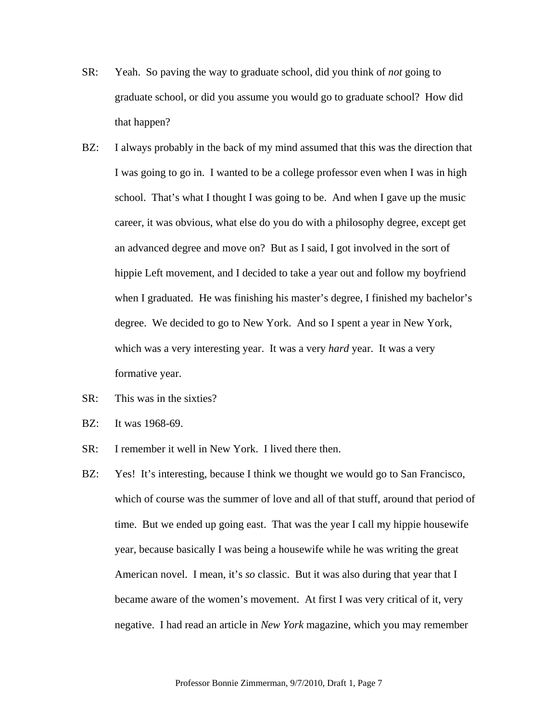- SR: Yeah. So paving the way to graduate school, did you think of *not* going to graduate school, or did you assume you would go to graduate school? How did that happen?
- BZ: I always probably in the back of my mind assumed that this was the direction that I was going to go in. I wanted to be a college professor even when I was in high school. That's what I thought I was going to be. And when I gave up the music career, it was obvious, what else do you do with a philosophy degree, except get an advanced degree and move on? But as I said, I got involved in the sort of hippie Left movement, and I decided to take a year out and follow my boyfriend when I graduated. He was finishing his master's degree, I finished my bachelor's degree. We decided to go to New York. And so I spent a year in New York, which was a very interesting year. It was a very *hard* year. It was a very formative year.
- SR: This was in the sixties?
- BZ: It was 1968-69.
- SR: I remember it well in New York. I lived there then.
- BZ: Yes! It's interesting, because I think we thought we would go to San Francisco, which of course was the summer of love and all of that stuff, around that period of time. But we ended up going east. That was the year I call my hippie housewife year, because basically I was being a housewife while he was writing the great American novel. I mean, it's *so* classic. But it was also during that year that I became aware of the women's movement. At first I was very critical of it, very negative. I had read an article in *New York* magazine, which you may remember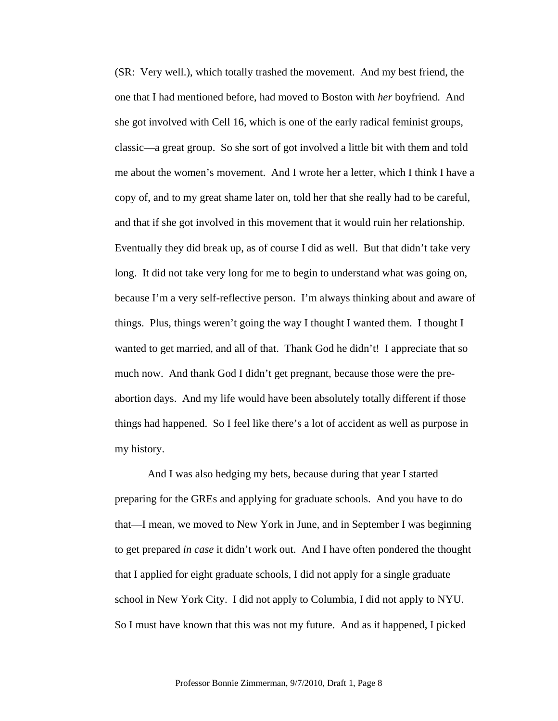(SR: Very well.), which totally trashed the movement. And my best friend, the one that I had mentioned before, had moved to Boston with *her* boyfriend. And she got involved with Cell 16, which is one of the early radical feminist groups, classic—a great group. So she sort of got involved a little bit with them and told me about the women's movement. And I wrote her a letter, which I think I have a copy of, and to my great shame later on, told her that she really had to be careful, and that if she got involved in this movement that it would ruin her relationship. Eventually they did break up, as of course I did as well. But that didn't take very long. It did not take very long for me to begin to understand what was going on, because I'm a very self-reflective person. I'm always thinking about and aware of things. Plus, things weren't going the way I thought I wanted them. I thought I wanted to get married, and all of that. Thank God he didn't! I appreciate that so much now. And thank God I didn't get pregnant, because those were the preabortion days. And my life would have been absolutely totally different if those things had happened. So I feel like there's a lot of accident as well as purpose in my history.

And I was also hedging my bets, because during that year I started preparing for the GREs and applying for graduate schools. And you have to do that—I mean, we moved to New York in June, and in September I was beginning to get prepared *in case* it didn't work out. And I have often pondered the thought that I applied for eight graduate schools, I did not apply for a single graduate school in New York City. I did not apply to Columbia, I did not apply to NYU. So I must have known that this was not my future. And as it happened, I picked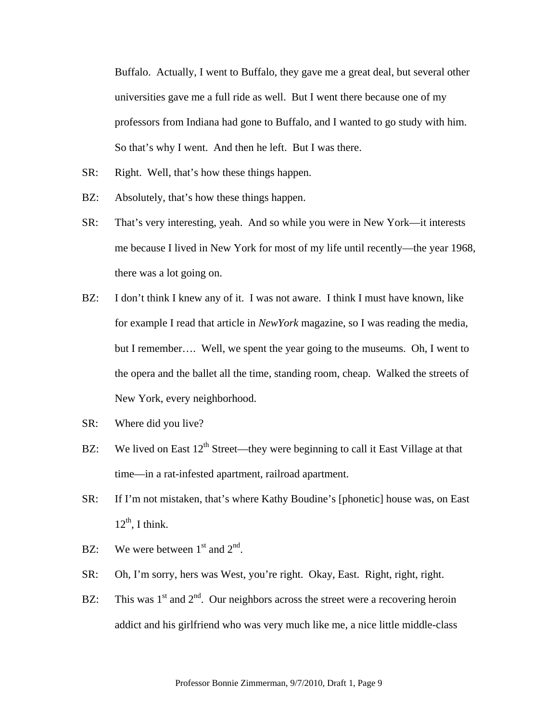Buffalo. Actually, I went to Buffalo, they gave me a great deal, but several other universities gave me a full ride as well. But I went there because one of my professors from Indiana had gone to Buffalo, and I wanted to go study with him. So that's why I went. And then he left. But I was there.

- SR: Right. Well, that's how these things happen.
- BZ: Absolutely, that's how these things happen.
- SR: That's very interesting, yeah. And so while you were in New York—it interests me because I lived in New York for most of my life until recently—the year 1968, there was a lot going on.
- BZ: I don't think I knew any of it. I was not aware. I think I must have known, like for example I read that article in *NewYork* magazine, so I was reading the media, but I remember…. Well, we spent the year going to the museums. Oh, I went to the opera and the ballet all the time, standing room, cheap. Walked the streets of New York, every neighborhood.
- SR: Where did you live?
- BZ: We lived on East 12<sup>th</sup> Street—they were beginning to call it East Village at that time—in a rat-infested apartment, railroad apartment.
- SR: If I'm not mistaken, that's where Kathy Boudine's [phonetic] house was, on East  $12^{th}$ , I think.
- BZ: We were between  $1<sup>st</sup>$  and  $2<sup>nd</sup>$ .
- SR: Oh, I'm sorry, hers was West, you're right. Okay, East. Right, right, right.
- BZ: This was  $1^{st}$  and  $2^{nd}$ . Our neighbors across the street were a recovering heroin addict and his girlfriend who was very much like me, a nice little middle-class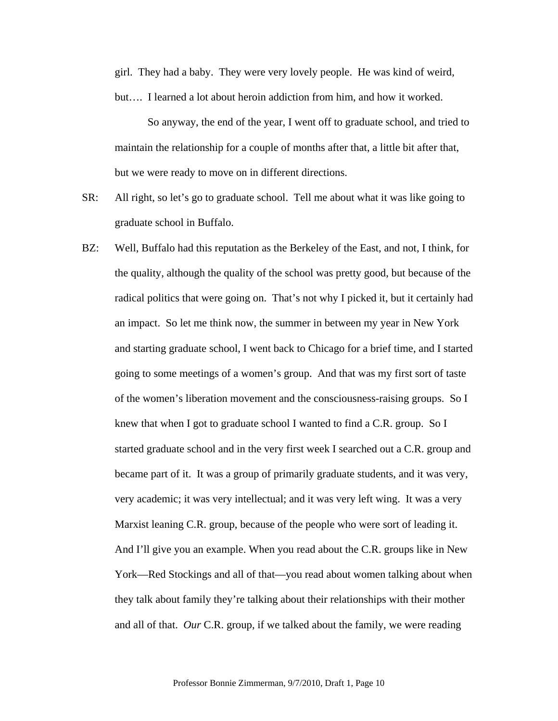girl. They had a baby. They were very lovely people. He was kind of weird, but…. I learned a lot about heroin addiction from him, and how it worked.

 So anyway, the end of the year, I went off to graduate school, and tried to maintain the relationship for a couple of months after that, a little bit after that, but we were ready to move on in different directions.

- SR: All right, so let's go to graduate school. Tell me about what it was like going to graduate school in Buffalo.
- BZ: Well, Buffalo had this reputation as the Berkeley of the East, and not, I think, for the quality, although the quality of the school was pretty good, but because of the radical politics that were going on. That's not why I picked it, but it certainly had an impact. So let me think now, the summer in between my year in New York and starting graduate school, I went back to Chicago for a brief time, and I started going to some meetings of a women's group. And that was my first sort of taste of the women's liberation movement and the consciousness-raising groups. So I knew that when I got to graduate school I wanted to find a C.R. group. So I started graduate school and in the very first week I searched out a C.R. group and became part of it. It was a group of primarily graduate students, and it was very, very academic; it was very intellectual; and it was very left wing. It was a very Marxist leaning C.R. group, because of the people who were sort of leading it. And I'll give you an example. When you read about the C.R. groups like in New York—Red Stockings and all of that—you read about women talking about when they talk about family they're talking about their relationships with their mother and all of that. *Our* C.R. group, if we talked about the family, we were reading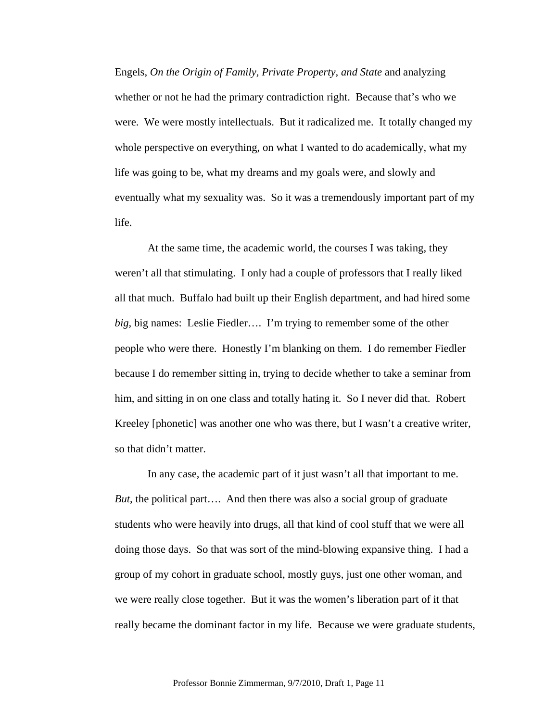Engels, *On the Origin of Family, Private Property, and State* and analyzing whether or not he had the primary contradiction right. Because that's who we were. We were mostly intellectuals. But it radicalized me. It totally changed my whole perspective on everything, on what I wanted to do academically, what my life was going to be, what my dreams and my goals were, and slowly and eventually what my sexuality was. So it was a tremendously important part of my life.

At the same time, the academic world, the courses I was taking, they weren't all that stimulating. I only had a couple of professors that I really liked all that much. Buffalo had built up their English department, and had hired some *big*, big names: Leslie Fiedler…. I'm trying to remember some of the other people who were there. Honestly I'm blanking on them. I do remember Fiedler because I do remember sitting in, trying to decide whether to take a seminar from him, and sitting in on one class and totally hating it. So I never did that. Robert Kreeley [phonetic] was another one who was there, but I wasn't a creative writer, so that didn't matter.

In any case, the academic part of it just wasn't all that important to me. *But*, the political part…. And then there was also a social group of graduate students who were heavily into drugs, all that kind of cool stuff that we were all doing those days. So that was sort of the mind-blowing expansive thing. I had a group of my cohort in graduate school, mostly guys, just one other woman, and we were really close together. But it was the women's liberation part of it that really became the dominant factor in my life. Because we were graduate students,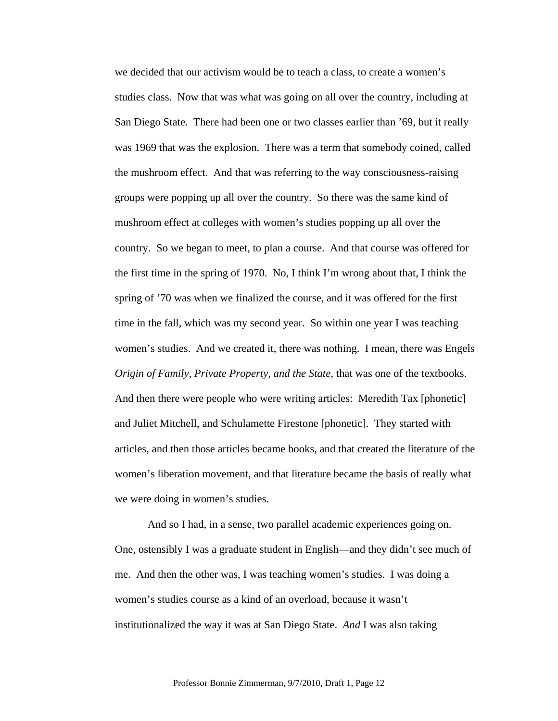we decided that our activism would be to teach a class, to create a women's studies class. Now that was what was going on all over the country, including at San Diego State. There had been one or two classes earlier than '69, but it really was 1969 that was the explosion. There was a term that somebody coined, called the mushroom effect. And that was referring to the way consciousness-raising groups were popping up all over the country. So there was the same kind of mushroom effect at colleges with women's studies popping up all over the country. So we began to meet, to plan a course. And that course was offered for the first time in the spring of 1970. No, I think I'm wrong about that, I think the spring of '70 was when we finalized the course, and it was offered for the first time in the fall, which was my second year. So within one year I was teaching women's studies. And we created it, there was nothing. I mean, there was Engels *Origin of Family, Private Property, and the State*, that was one of the textbooks. And then there were people who were writing articles: Meredith Tax [phonetic] and Juliet Mitchell, and Schulamette Firestone [phonetic]. They started with articles, and then those articles became books, and that created the literature of the women's liberation movement, and that literature became the basis of really what we were doing in women's studies.

And so I had, in a sense, two parallel academic experiences going on. One, ostensibly I was a graduate student in English—and they didn't see much of me. And then the other was, I was teaching women's studies. I was doing a women's studies course as a kind of an overload, because it wasn't institutionalized the way it was at San Diego State. *And* I was also taking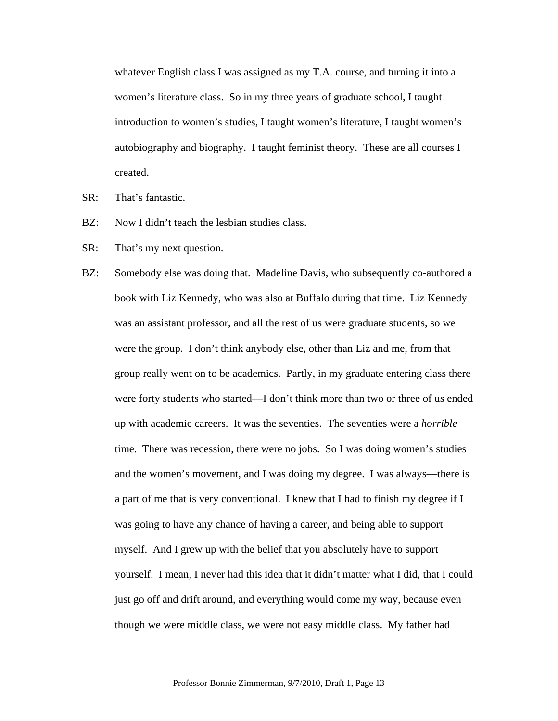whatever English class I was assigned as my T.A. course, and turning it into a women's literature class. So in my three years of graduate school, I taught introduction to women's studies, I taught women's literature, I taught women's autobiography and biography. I taught feminist theory. These are all courses I created.

- SR: That's fantastic.
- BZ: Now I didn't teach the lesbian studies class.
- SR: That's my next question.
- BZ: Somebody else was doing that. Madeline Davis, who subsequently co-authored a book with Liz Kennedy, who was also at Buffalo during that time. Liz Kennedy was an assistant professor, and all the rest of us were graduate students, so we were the group. I don't think anybody else, other than Liz and me, from that group really went on to be academics. Partly, in my graduate entering class there were forty students who started—I don't think more than two or three of us ended up with academic careers. It was the seventies. The seventies were a *horrible* time. There was recession, there were no jobs. So I was doing women's studies and the women's movement, and I was doing my degree. I was always—there is a part of me that is very conventional. I knew that I had to finish my degree if I was going to have any chance of having a career, and being able to support myself. And I grew up with the belief that you absolutely have to support yourself. I mean, I never had this idea that it didn't matter what I did, that I could just go off and drift around, and everything would come my way, because even though we were middle class, we were not easy middle class. My father had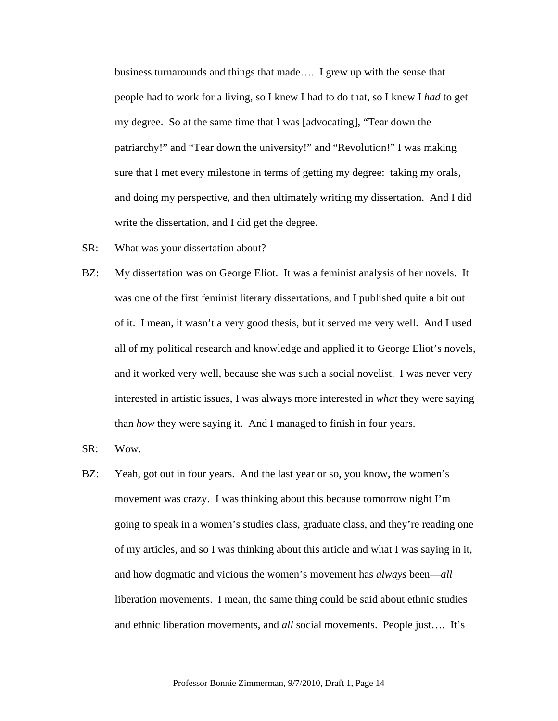business turnarounds and things that made…. I grew up with the sense that people had to work for a living, so I knew I had to do that, so I knew I *had* to get my degree. So at the same time that I was [advocating], "Tear down the patriarchy!" and "Tear down the university!" and "Revolution!" I was making sure that I met every milestone in terms of getting my degree: taking my orals, and doing my perspective, and then ultimately writing my dissertation. And I did write the dissertation, and I did get the degree.

- SR: What was your dissertation about?
- BZ: My dissertation was on George Eliot. It was a feminist analysis of her novels. It was one of the first feminist literary dissertations, and I published quite a bit out of it. I mean, it wasn't a very good thesis, but it served me very well. And I used all of my political research and knowledge and applied it to George Eliot's novels, and it worked very well, because she was such a social novelist. I was never very interested in artistic issues, I was always more interested in *what* they were saying than *how* they were saying it. And I managed to finish in four years.
- SR: Wow.
- BZ: Yeah, got out in four years. And the last year or so, you know, the women's movement was crazy. I was thinking about this because tomorrow night I'm going to speak in a women's studies class, graduate class, and they're reading one of my articles, and so I was thinking about this article and what I was saying in it, and how dogmatic and vicious the women's movement has *always* been—*all* liberation movements. I mean, the same thing could be said about ethnic studies and ethnic liberation movements, and *all* social movements. People just…. It's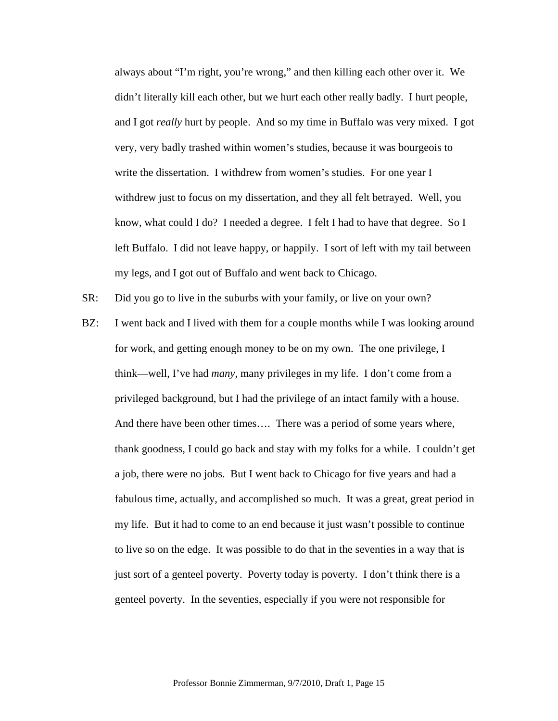always about "I'm right, you're wrong," and then killing each other over it. We didn't literally kill each other, but we hurt each other really badly. I hurt people, and I got *really* hurt by people. And so my time in Buffalo was very mixed. I got very, very badly trashed within women's studies, because it was bourgeois to write the dissertation. I withdrew from women's studies. For one year I withdrew just to focus on my dissertation, and they all felt betrayed. Well, you know, what could I do? I needed a degree. I felt I had to have that degree. So I left Buffalo. I did not leave happy, or happily. I sort of left with my tail between my legs, and I got out of Buffalo and went back to Chicago.

SR: Did you go to live in the suburbs with your family, or live on your own?

BZ: I went back and I lived with them for a couple months while I was looking around for work, and getting enough money to be on my own. The one privilege, I think—well, I've had *many*, many privileges in my life. I don't come from a privileged background, but I had the privilege of an intact family with a house. And there have been other times…. There was a period of some years where, thank goodness, I could go back and stay with my folks for a while. I couldn't get a job, there were no jobs. But I went back to Chicago for five years and had a fabulous time, actually, and accomplished so much. It was a great, great period in my life. But it had to come to an end because it just wasn't possible to continue to live so on the edge. It was possible to do that in the seventies in a way that is just sort of a genteel poverty. Poverty today is poverty. I don't think there is a genteel poverty. In the seventies, especially if you were not responsible for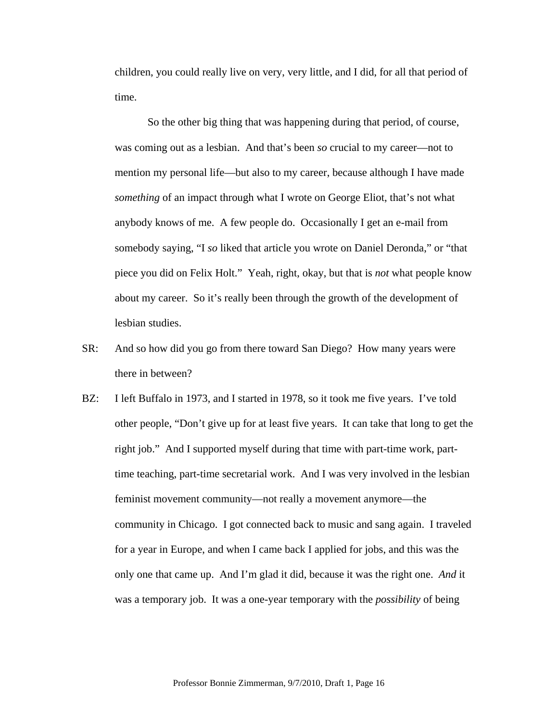children, you could really live on very, very little, and I did, for all that period of time.

 So the other big thing that was happening during that period, of course, was coming out as a lesbian. And that's been *so* crucial to my career—not to mention my personal life—but also to my career, because although I have made *something* of an impact through what I wrote on George Eliot, that's not what anybody knows of me. A few people do. Occasionally I get an e-mail from somebody saying, "I *so* liked that article you wrote on Daniel Deronda," or "that piece you did on Felix Holt." Yeah, right, okay, but that is *not* what people know about my career. So it's really been through the growth of the development of lesbian studies.

- SR: And so how did you go from there toward San Diego? How many years were there in between?
- BZ: I left Buffalo in 1973, and I started in 1978, so it took me five years. I've told other people, "Don't give up for at least five years. It can take that long to get the right job." And I supported myself during that time with part-time work, parttime teaching, part-time secretarial work. And I was very involved in the lesbian feminist movement community—not really a movement anymore—the community in Chicago. I got connected back to music and sang again. I traveled for a year in Europe, and when I came back I applied for jobs, and this was the only one that came up. And I'm glad it did, because it was the right one. *And* it was a temporary job. It was a one-year temporary with the *possibility* of being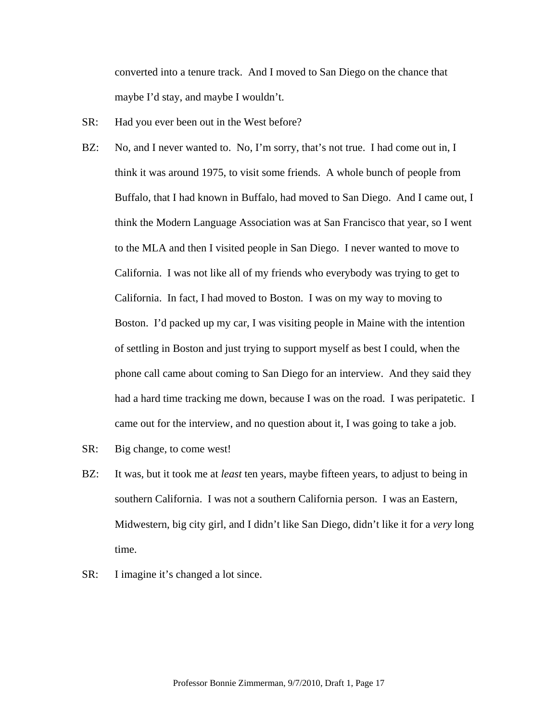converted into a tenure track. And I moved to San Diego on the chance that maybe I'd stay, and maybe I wouldn't.

- SR: Had you ever been out in the West before?
- BZ: No, and I never wanted to. No, I'm sorry, that's not true. I had come out in, I think it was around 1975, to visit some friends. A whole bunch of people from Buffalo, that I had known in Buffalo, had moved to San Diego. And I came out, I think the Modern Language Association was at San Francisco that year, so I went to the MLA and then I visited people in San Diego. I never wanted to move to California. I was not like all of my friends who everybody was trying to get to California. In fact, I had moved to Boston. I was on my way to moving to Boston. I'd packed up my car, I was visiting people in Maine with the intention of settling in Boston and just trying to support myself as best I could, when the phone call came about coming to San Diego for an interview. And they said they had a hard time tracking me down, because I was on the road. I was peripatetic. I came out for the interview, and no question about it, I was going to take a job.
- SR: Big change, to come west!
- BZ: It was, but it took me at *least* ten years, maybe fifteen years, to adjust to being in southern California. I was not a southern California person. I was an Eastern, Midwestern, big city girl, and I didn't like San Diego, didn't like it for a *very* long time.
- SR: I imagine it's changed a lot since.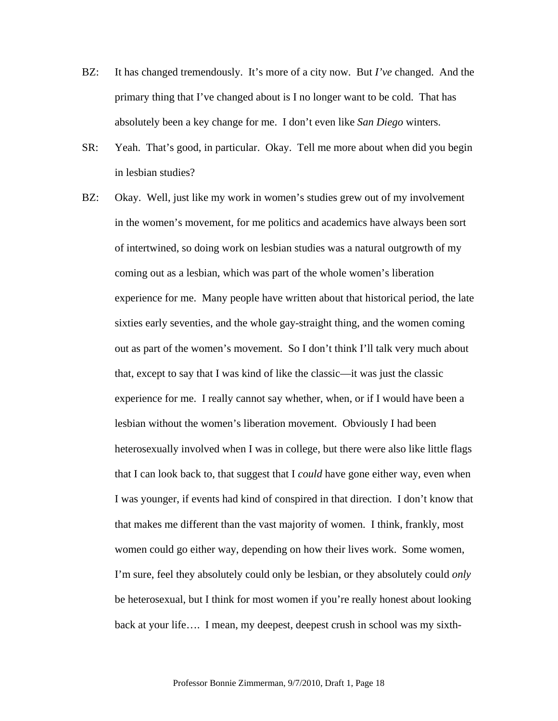- BZ: It has changed tremendously. It's more of a city now. But *I've* changed. And the primary thing that I've changed about is I no longer want to be cold. That has absolutely been a key change for me. I don't even like *San Diego* winters.
- SR: Yeah. That's good, in particular. Okay. Tell me more about when did you begin in lesbian studies?
- BZ: Okay. Well, just like my work in women's studies grew out of my involvement in the women's movement, for me politics and academics have always been sort of intertwined, so doing work on lesbian studies was a natural outgrowth of my coming out as a lesbian, which was part of the whole women's liberation experience for me. Many people have written about that historical period, the late sixties early seventies, and the whole gay-straight thing, and the women coming out as part of the women's movement. So I don't think I'll talk very much about that, except to say that I was kind of like the classic—it was just the classic experience for me. I really cannot say whether, when, or if I would have been a lesbian without the women's liberation movement. Obviously I had been heterosexually involved when I was in college, but there were also like little flags that I can look back to, that suggest that I *could* have gone either way, even when I was younger, if events had kind of conspired in that direction. I don't know that that makes me different than the vast majority of women. I think, frankly, most women could go either way, depending on how their lives work. Some women, I'm sure, feel they absolutely could only be lesbian, or they absolutely could *only* be heterosexual, but I think for most women if you're really honest about looking back at your life…. I mean, my deepest, deepest crush in school was my sixth-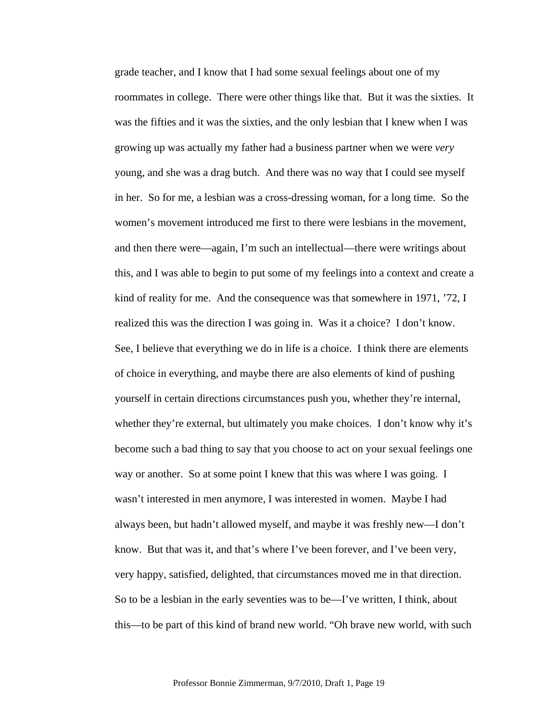grade teacher, and I know that I had some sexual feelings about one of my roommates in college. There were other things like that. But it was the sixties. It was the fifties and it was the sixties, and the only lesbian that I knew when I was growing up was actually my father had a business partner when we were *very* young, and she was a drag butch. And there was no way that I could see myself in her. So for me, a lesbian was a cross-dressing woman, for a long time. So the women's movement introduced me first to there were lesbians in the movement, and then there were—again, I'm such an intellectual—there were writings about this, and I was able to begin to put some of my feelings into a context and create a kind of reality for me. And the consequence was that somewhere in 1971, '72, I realized this was the direction I was going in. Was it a choice? I don't know. See, I believe that everything we do in life is a choice. I think there are elements of choice in everything, and maybe there are also elements of kind of pushing yourself in certain directions circumstances push you, whether they're internal, whether they're external, but ultimately you make choices. I don't know why it's become such a bad thing to say that you choose to act on your sexual feelings one way or another. So at some point I knew that this was where I was going. I wasn't interested in men anymore, I was interested in women. Maybe I had always been, but hadn't allowed myself, and maybe it was freshly new—I don't know. But that was it, and that's where I've been forever, and I've been very, very happy, satisfied, delighted, that circumstances moved me in that direction. So to be a lesbian in the early seventies was to be—I've written, I think, about this—to be part of this kind of brand new world. "Oh brave new world, with such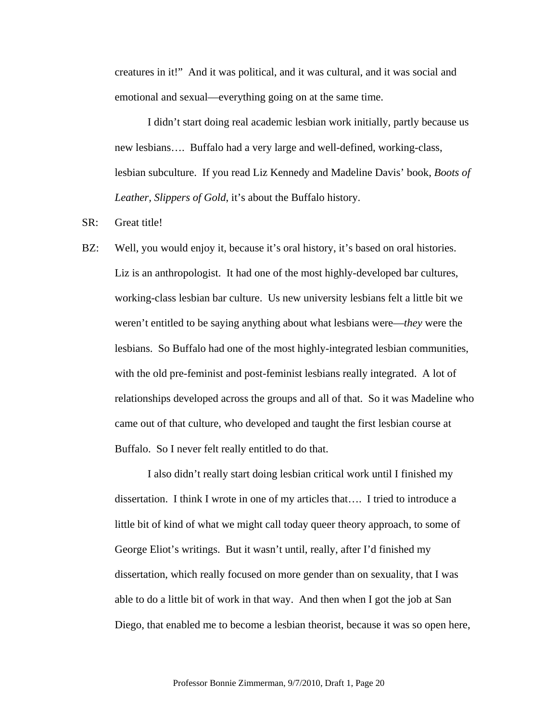creatures in it!" And it was political, and it was cultural, and it was social and emotional and sexual—everything going on at the same time.

 I didn't start doing real academic lesbian work initially, partly because us new lesbians…. Buffalo had a very large and well-defined, working-class, lesbian subculture. If you read Liz Kennedy and Madeline Davis' book, *Boots of Leather, Slippers of Gold*, it's about the Buffalo history.

## SR: Great title!

BZ: Well, you would enjoy it, because it's oral history, it's based on oral histories. Liz is an anthropologist. It had one of the most highly-developed bar cultures, working-class lesbian bar culture. Us new university lesbians felt a little bit we weren't entitled to be saying anything about what lesbians were—*they* were the lesbians. So Buffalo had one of the most highly-integrated lesbian communities, with the old pre-feminist and post-feminist lesbians really integrated. A lot of relationships developed across the groups and all of that. So it was Madeline who came out of that culture, who developed and taught the first lesbian course at Buffalo. So I never felt really entitled to do that.

I also didn't really start doing lesbian critical work until I finished my dissertation. I think I wrote in one of my articles that…. I tried to introduce a little bit of kind of what we might call today queer theory approach, to some of George Eliot's writings. But it wasn't until, really, after I'd finished my dissertation, which really focused on more gender than on sexuality, that I was able to do a little bit of work in that way. And then when I got the job at San Diego, that enabled me to become a lesbian theorist, because it was so open here,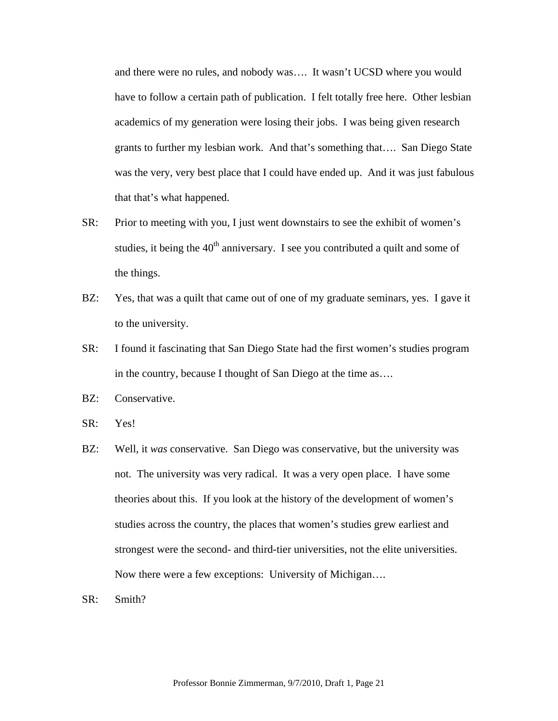and there were no rules, and nobody was…. It wasn't UCSD where you would have to follow a certain path of publication. I felt totally free here. Other lesbian academics of my generation were losing their jobs. I was being given research grants to further my lesbian work. And that's something that…. San Diego State was the very, very best place that I could have ended up. And it was just fabulous that that's what happened.

- SR: Prior to meeting with you, I just went downstairs to see the exhibit of women's studies, it being the  $40<sup>th</sup>$  anniversary. I see you contributed a quilt and some of the things.
- BZ: Yes, that was a quilt that came out of one of my graduate seminars, yes. I gave it to the university.
- SR: I found it fascinating that San Diego State had the first women's studies program in the country, because I thought of San Diego at the time as….
- BZ: Conservative.
- SR: Yes!
- BZ: Well, it *was* conservative. San Diego was conservative, but the university was not. The university was very radical. It was a very open place. I have some theories about this. If you look at the history of the development of women's studies across the country, the places that women's studies grew earliest and strongest were the second- and third-tier universities, not the elite universities. Now there were a few exceptions: University of Michigan….
- SR: Smith?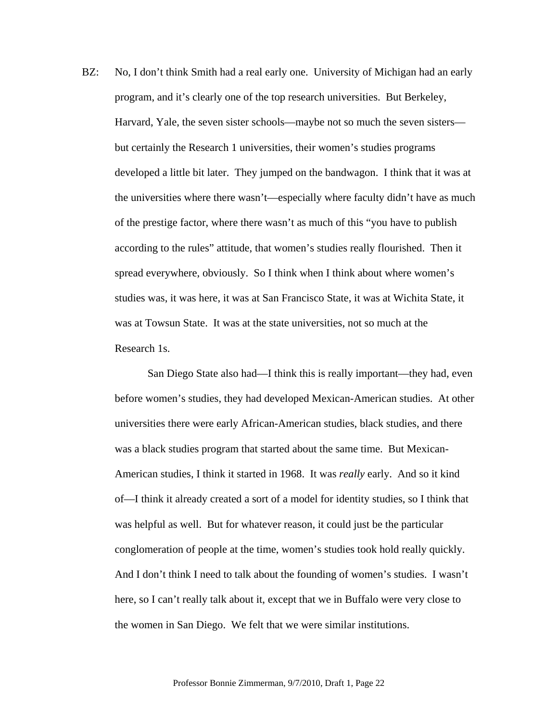BZ: No, I don't think Smith had a real early one. University of Michigan had an early program, and it's clearly one of the top research universities. But Berkeley, Harvard, Yale, the seven sister schools—maybe not so much the seven sisters but certainly the Research 1 universities, their women's studies programs developed a little bit later. They jumped on the bandwagon. I think that it was at the universities where there wasn't—especially where faculty didn't have as much of the prestige factor, where there wasn't as much of this "you have to publish according to the rules" attitude, that women's studies really flourished. Then it spread everywhere, obviously. So I think when I think about where women's studies was, it was here, it was at San Francisco State, it was at Wichita State, it was at Towsun State. It was at the state universities, not so much at the Research 1s.

 San Diego State also had—I think this is really important—they had, even before women's studies, they had developed Mexican-American studies. At other universities there were early African-American studies, black studies, and there was a black studies program that started about the same time. But Mexican-American studies, I think it started in 1968. It was *really* early. And so it kind of—I think it already created a sort of a model for identity studies, so I think that was helpful as well. But for whatever reason, it could just be the particular conglomeration of people at the time, women's studies took hold really quickly. And I don't think I need to talk about the founding of women's studies. I wasn't here, so I can't really talk about it, except that we in Buffalo were very close to the women in San Diego. We felt that we were similar institutions.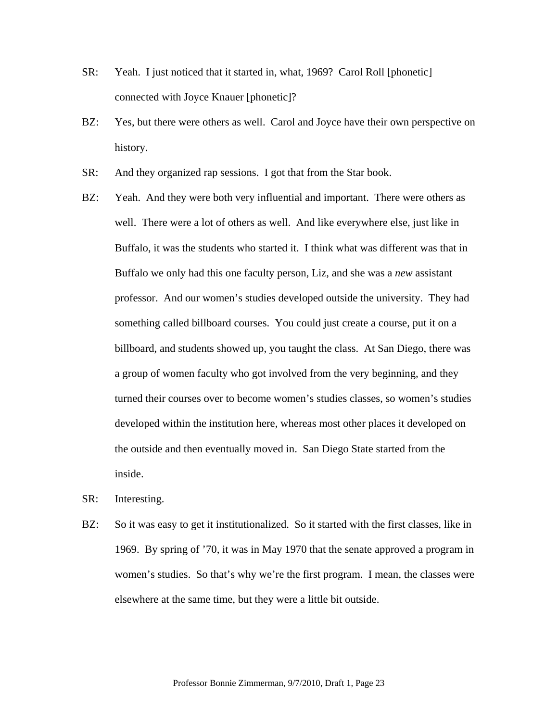- SR: Yeah. I just noticed that it started in, what, 1969? Carol Roll [phonetic] connected with Joyce Knauer [phonetic]?
- BZ: Yes, but there were others as well. Carol and Joyce have their own perspective on history.
- SR: And they organized rap sessions. I got that from the Star book.
- BZ: Yeah. And they were both very influential and important. There were others as well. There were a lot of others as well. And like everywhere else, just like in Buffalo, it was the students who started it. I think what was different was that in Buffalo we only had this one faculty person, Liz, and she was a *new* assistant professor. And our women's studies developed outside the university. They had something called billboard courses. You could just create a course, put it on a billboard, and students showed up, you taught the class. At San Diego, there was a group of women faculty who got involved from the very beginning, and they turned their courses over to become women's studies classes, so women's studies developed within the institution here, whereas most other places it developed on the outside and then eventually moved in. San Diego State started from the inside.
- SR: Interesting.
- BZ: So it was easy to get it institutionalized. So it started with the first classes, like in 1969. By spring of '70, it was in May 1970 that the senate approved a program in women's studies. So that's why we're the first program. I mean, the classes were elsewhere at the same time, but they were a little bit outside.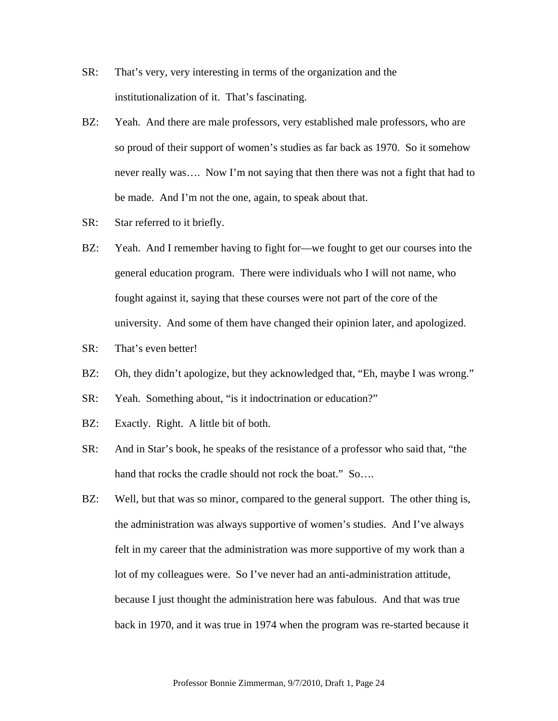- SR: That's very, very interesting in terms of the organization and the institutionalization of it. That's fascinating.
- BZ: Yeah. And there are male professors, very established male professors, who are so proud of their support of women's studies as far back as 1970. So it somehow never really was…. Now I'm not saying that then there was not a fight that had to be made. And I'm not the one, again, to speak about that.
- SR: Star referred to it briefly.
- BZ: Yeah. And I remember having to fight for—we fought to get our courses into the general education program. There were individuals who I will not name, who fought against it, saying that these courses were not part of the core of the university. And some of them have changed their opinion later, and apologized.
- SR: That's even better!
- BZ: Oh, they didn't apologize, but they acknowledged that, "Eh, maybe I was wrong."
- SR: Yeah. Something about, "is it indoctrination or education?"
- BZ: Exactly. Right. A little bit of both.
- SR: And in Star's book, he speaks of the resistance of a professor who said that, "the hand that rocks the cradle should not rock the boat." So....
- BZ: Well, but that was so minor, compared to the general support. The other thing is, the administration was always supportive of women's studies. And I've always felt in my career that the administration was more supportive of my work than a lot of my colleagues were. So I've never had an anti-administration attitude, because I just thought the administration here was fabulous. And that was true back in 1970, and it was true in 1974 when the program was re-started because it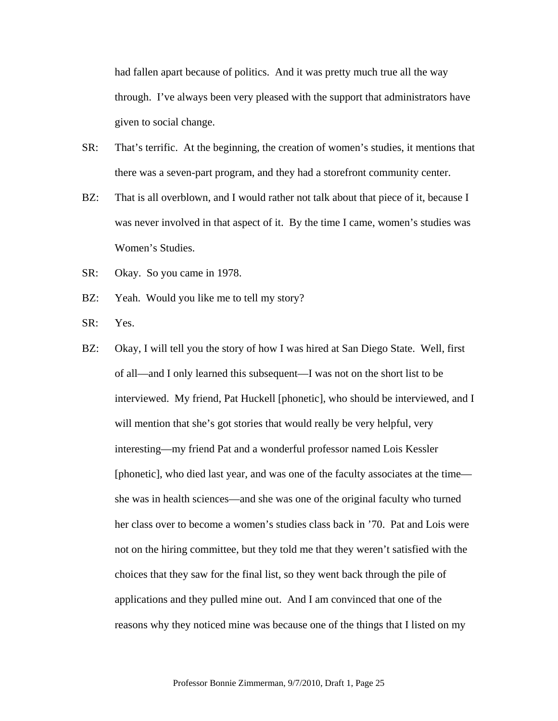had fallen apart because of politics. And it was pretty much true all the way through. I've always been very pleased with the support that administrators have given to social change.

- SR: That's terrific. At the beginning, the creation of women's studies, it mentions that there was a seven-part program, and they had a storefront community center.
- BZ: That is all overblown, and I would rather not talk about that piece of it, because I was never involved in that aspect of it. By the time I came, women's studies was Women's Studies.
- SR: Okay. So you came in 1978.
- BZ: Yeah. Would you like me to tell my story?
- SR: Yes.
- BZ: Okay, I will tell you the story of how I was hired at San Diego State. Well, first of all—and I only learned this subsequent—I was not on the short list to be interviewed. My friend, Pat Huckell [phonetic], who should be interviewed, and I will mention that she's got stories that would really be very helpful, very interesting—my friend Pat and a wonderful professor named Lois Kessler [phonetic], who died last year, and was one of the faculty associates at the time she was in health sciences—and she was one of the original faculty who turned her class over to become a women's studies class back in '70. Pat and Lois were not on the hiring committee, but they told me that they weren't satisfied with the choices that they saw for the final list, so they went back through the pile of applications and they pulled mine out. And I am convinced that one of the reasons why they noticed mine was because one of the things that I listed on my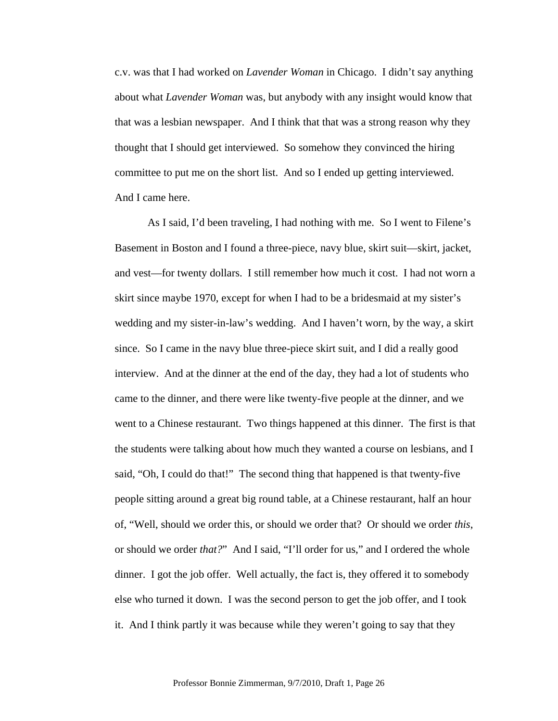c.v. was that I had worked on *Lavender Woman* in Chicago. I didn't say anything about what *Lavender Woman* was, but anybody with any insight would know that that was a lesbian newspaper. And I think that that was a strong reason why they thought that I should get interviewed. So somehow they convinced the hiring committee to put me on the short list. And so I ended up getting interviewed. And I came here.

As I said, I'd been traveling, I had nothing with me. So I went to Filene's Basement in Boston and I found a three-piece, navy blue, skirt suit—skirt, jacket, and vest—for twenty dollars. I still remember how much it cost. I had not worn a skirt since maybe 1970, except for when I had to be a bridesmaid at my sister's wedding and my sister-in-law's wedding. And I haven't worn, by the way, a skirt since. So I came in the navy blue three-piece skirt suit, and I did a really good interview. And at the dinner at the end of the day, they had a lot of students who came to the dinner, and there were like twenty-five people at the dinner, and we went to a Chinese restaurant. Two things happened at this dinner. The first is that the students were talking about how much they wanted a course on lesbians, and I said, "Oh, I could do that!" The second thing that happened is that twenty-five people sitting around a great big round table, at a Chinese restaurant, half an hour of, "Well, should we order this, or should we order that? Or should we order *this*, or should we order *that?*" And I said, "I'll order for us," and I ordered the whole dinner. I got the job offer. Well actually, the fact is, they offered it to somebody else who turned it down. I was the second person to get the job offer, and I took it. And I think partly it was because while they weren't going to say that they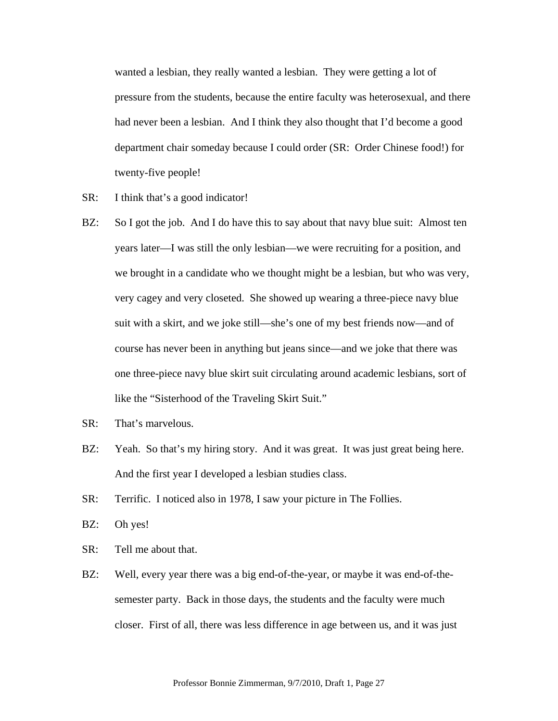wanted a lesbian, they really wanted a lesbian. They were getting a lot of pressure from the students, because the entire faculty was heterosexual, and there had never been a lesbian. And I think they also thought that I'd become a good department chair someday because I could order (SR: Order Chinese food!) for twenty-five people!

- SR: I think that's a good indicator!
- BZ: So I got the job. And I do have this to say about that navy blue suit: Almost ten years later—I was still the only lesbian—we were recruiting for a position, and we brought in a candidate who we thought might be a lesbian, but who was very, very cagey and very closeted. She showed up wearing a three-piece navy blue suit with a skirt, and we joke still—she's one of my best friends now—and of course has never been in anything but jeans since—and we joke that there was one three-piece navy blue skirt suit circulating around academic lesbians, sort of like the "Sisterhood of the Traveling Skirt Suit."
- SR: That's marvelous.
- BZ: Yeah. So that's my hiring story. And it was great. It was just great being here. And the first year I developed a lesbian studies class.
- SR: Terrific. I noticed also in 1978, I saw your picture in The Follies.
- BZ: Oh yes!
- SR: Tell me about that.
- BZ: Well, every year there was a big end-of-the-year, or maybe it was end-of-thesemester party. Back in those days, the students and the faculty were much closer. First of all, there was less difference in age between us, and it was just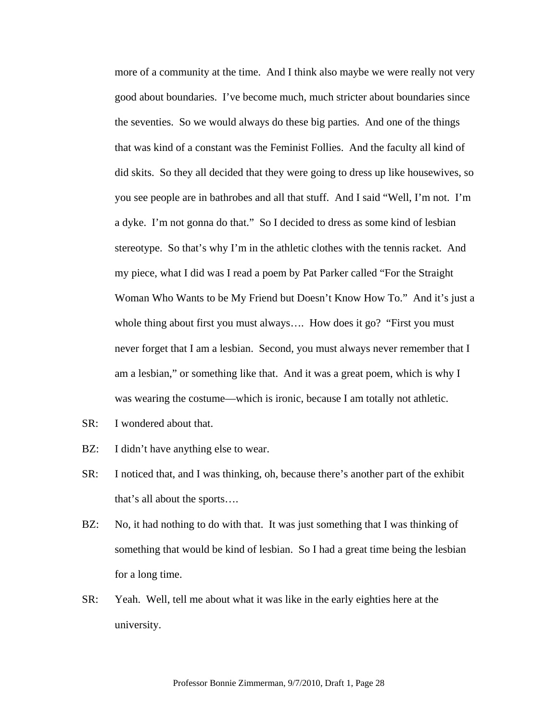more of a community at the time. And I think also maybe we were really not very good about boundaries. I've become much, much stricter about boundaries since the seventies. So we would always do these big parties. And one of the things that was kind of a constant was the Feminist Follies. And the faculty all kind of did skits. So they all decided that they were going to dress up like housewives, so you see people are in bathrobes and all that stuff. And I said "Well, I'm not. I'm a dyke. I'm not gonna do that." So I decided to dress as some kind of lesbian stereotype. So that's why I'm in the athletic clothes with the tennis racket. And my piece, what I did was I read a poem by Pat Parker called "For the Straight Woman Who Wants to be My Friend but Doesn't Know How To." And it's just a whole thing about first you must always.... How does it go? "First you must" never forget that I am a lesbian. Second, you must always never remember that I am a lesbian," or something like that. And it was a great poem, which is why I was wearing the costume—which is ironic, because I am totally not athletic.

- SR: I wondered about that.
- BZ: I didn't have anything else to wear.
- SR: I noticed that, and I was thinking, oh, because there's another part of the exhibit that's all about the sports….
- BZ: No, it had nothing to do with that. It was just something that I was thinking of something that would be kind of lesbian. So I had a great time being the lesbian for a long time.
- SR: Yeah. Well, tell me about what it was like in the early eighties here at the university.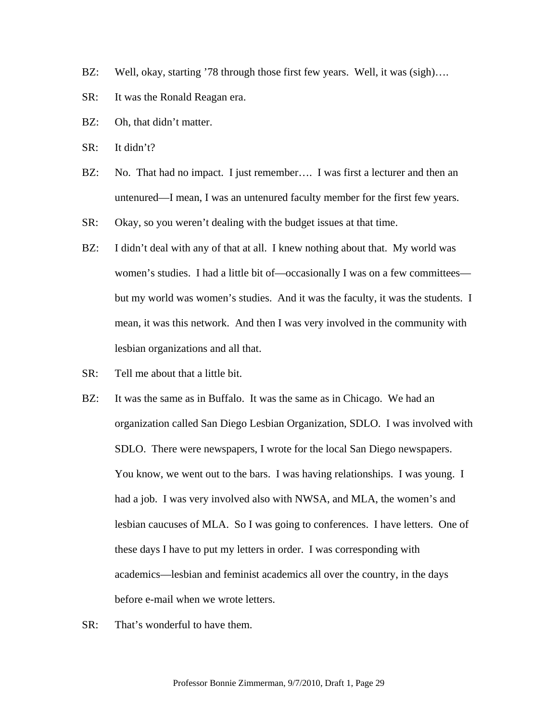- BZ: Well, okay, starting '78 through those first few years. Well, it was (sigh)....
- SR: It was the Ronald Reagan era.
- BZ: Oh, that didn't matter.
- SR: It didn't?
- BZ: No. That had no impact. I just remember.... I was first a lecturer and then an untenured—I mean, I was an untenured faculty member for the first few years.
- SR: Okay, so you weren't dealing with the budget issues at that time.
- BZ: I didn't deal with any of that at all. I knew nothing about that. My world was women's studies. I had a little bit of—occasionally I was on a few committees but my world was women's studies. And it was the faculty, it was the students. I mean, it was this network. And then I was very involved in the community with lesbian organizations and all that.
- SR: Tell me about that a little bit.
- BZ: It was the same as in Buffalo. It was the same as in Chicago. We had an organization called San Diego Lesbian Organization, SDLO. I was involved with SDLO. There were newspapers, I wrote for the local San Diego newspapers. You know, we went out to the bars. I was having relationships. I was young. I had a job. I was very involved also with NWSA, and MLA, the women's and lesbian caucuses of MLA. So I was going to conferences. I have letters. One of these days I have to put my letters in order. I was corresponding with academics—lesbian and feminist academics all over the country, in the days before e-mail when we wrote letters.
- SR: That's wonderful to have them.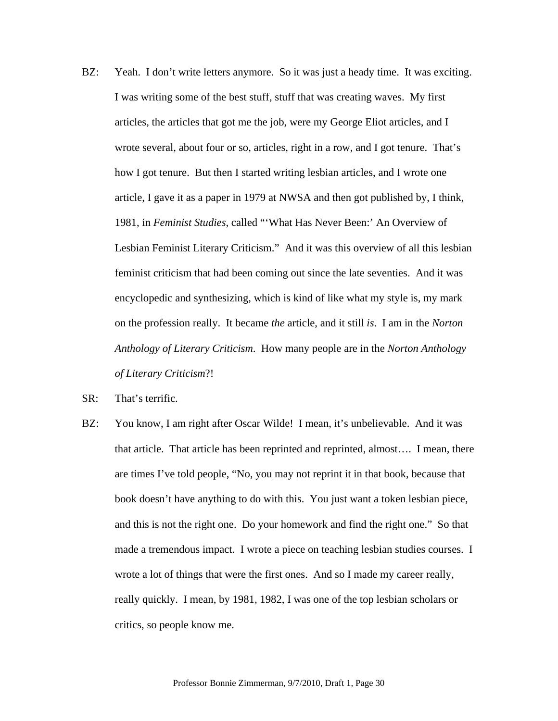- BZ: Yeah. I don't write letters anymore. So it was just a heady time. It was exciting. I was writing some of the best stuff, stuff that was creating waves. My first articles, the articles that got me the job, were my George Eliot articles, and I wrote several, about four or so, articles, right in a row, and I got tenure. That's how I got tenure. But then I started writing lesbian articles, and I wrote one article, I gave it as a paper in 1979 at NWSA and then got published by, I think, 1981, in *Feminist Studies*, called "'What Has Never Been:' An Overview of Lesbian Feminist Literary Criticism." And it was this overview of all this lesbian feminist criticism that had been coming out since the late seventies. And it was encyclopedic and synthesizing, which is kind of like what my style is, my mark on the profession really. It became *the* article, and it still *is*. I am in the *Norton Anthology of Literary Criticism*. How many people are in the *Norton Anthology of Literary Criticism*?!
- SR: That's terrific.
- BZ: You know, I am right after Oscar Wilde! I mean, it's unbelievable. And it was that article. That article has been reprinted and reprinted, almost…. I mean, there are times I've told people, "No, you may not reprint it in that book, because that book doesn't have anything to do with this. You just want a token lesbian piece, and this is not the right one. Do your homework and find the right one." So that made a tremendous impact. I wrote a piece on teaching lesbian studies courses. I wrote a lot of things that were the first ones. And so I made my career really, really quickly. I mean, by 1981, 1982, I was one of the top lesbian scholars or critics, so people know me.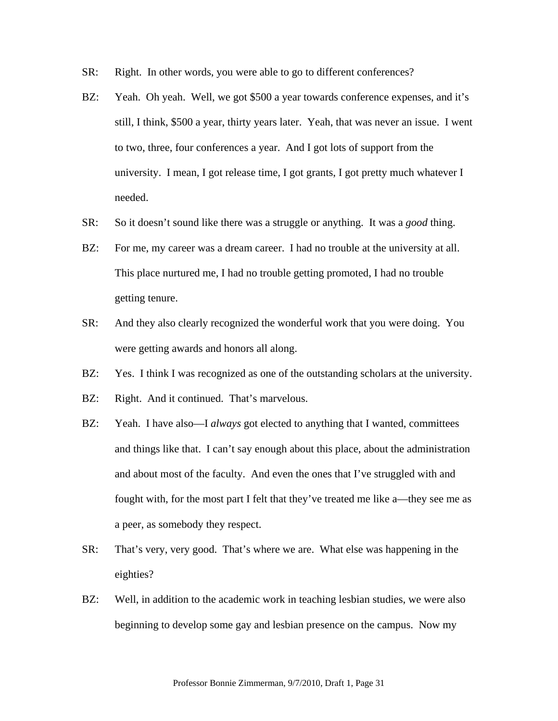- SR: Right. In other words, you were able to go to different conferences?
- BZ: Yeah. Oh yeah. Well, we got \$500 a year towards conference expenses, and it's still, I think, \$500 a year, thirty years later. Yeah, that was never an issue. I went to two, three, four conferences a year. And I got lots of support from the university. I mean, I got release time, I got grants, I got pretty much whatever I needed.
- SR: So it doesn't sound like there was a struggle or anything. It was a *good* thing.
- BZ: For me, my career was a dream career. I had no trouble at the university at all. This place nurtured me, I had no trouble getting promoted, I had no trouble getting tenure.
- SR: And they also clearly recognized the wonderful work that you were doing. You were getting awards and honors all along.
- BZ: Yes. I think I was recognized as one of the outstanding scholars at the university.
- BZ: Right. And it continued. That's marvelous.
- BZ: Yeah. I have also—I *always* got elected to anything that I wanted, committees and things like that. I can't say enough about this place, about the administration and about most of the faculty. And even the ones that I've struggled with and fought with, for the most part I felt that they've treated me like a—they see me as a peer, as somebody they respect.
- SR: That's very, very good. That's where we are. What else was happening in the eighties?
- BZ: Well, in addition to the academic work in teaching lesbian studies, we were also beginning to develop some gay and lesbian presence on the campus. Now my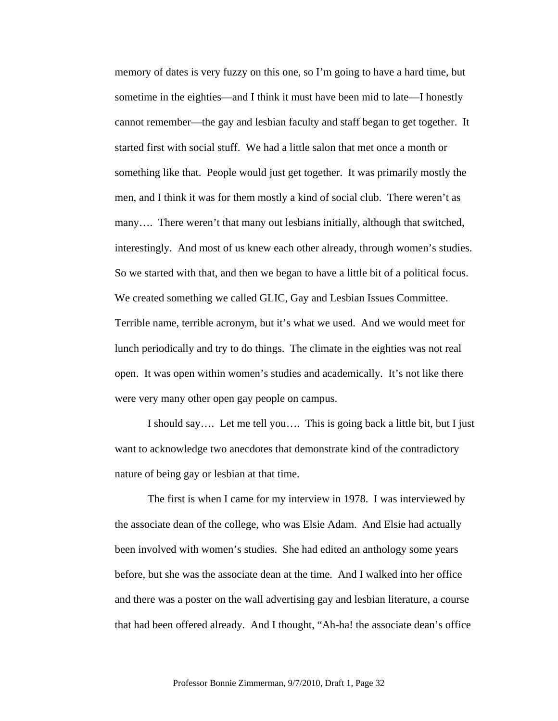memory of dates is very fuzzy on this one, so I'm going to have a hard time, but sometime in the eighties—and I think it must have been mid to late—I honestly cannot remember—the gay and lesbian faculty and staff began to get together. It started first with social stuff. We had a little salon that met once a month or something like that. People would just get together. It was primarily mostly the men, and I think it was for them mostly a kind of social club. There weren't as many…. There weren't that many out lesbians initially, although that switched, interestingly. And most of us knew each other already, through women's studies. So we started with that, and then we began to have a little bit of a political focus. We created something we called GLIC, Gay and Lesbian Issues Committee. Terrible name, terrible acronym, but it's what we used. And we would meet for lunch periodically and try to do things. The climate in the eighties was not real open. It was open within women's studies and academically. It's not like there were very many other open gay people on campus.

 I should say…. Let me tell you…. This is going back a little bit, but I just want to acknowledge two anecdotes that demonstrate kind of the contradictory nature of being gay or lesbian at that time.

 The first is when I came for my interview in 1978. I was interviewed by the associate dean of the college, who was Elsie Adam. And Elsie had actually been involved with women's studies. She had edited an anthology some years before, but she was the associate dean at the time. And I walked into her office and there was a poster on the wall advertising gay and lesbian literature, a course that had been offered already. And I thought, "Ah-ha! the associate dean's office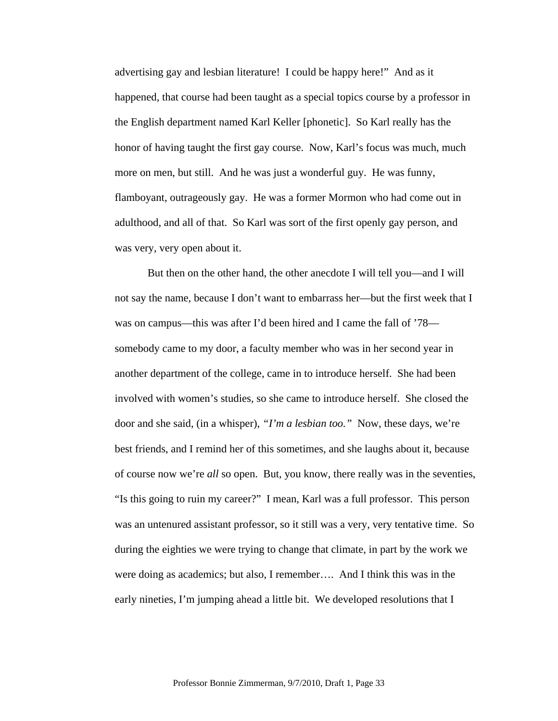advertising gay and lesbian literature! I could be happy here!" And as it happened, that course had been taught as a special topics course by a professor in the English department named Karl Keller [phonetic]. So Karl really has the honor of having taught the first gay course. Now, Karl's focus was much, much more on men, but still. And he was just a wonderful guy. He was funny, flamboyant, outrageously gay. He was a former Mormon who had come out in adulthood, and all of that. So Karl was sort of the first openly gay person, and was very, very open about it.

But then on the other hand, the other anecdote I will tell you—and I will not say the name, because I don't want to embarrass her—but the first week that I was on campus—this was after I'd been hired and I came the fall of '78 somebody came to my door, a faculty member who was in her second year in another department of the college, came in to introduce herself. She had been involved with women's studies, so she came to introduce herself. She closed the door and she said, (in a whisper), *"I'm a lesbian too."* Now, these days, we're best friends, and I remind her of this sometimes, and she laughs about it, because of course now we're *all* so open. But, you know, there really was in the seventies, "Is this going to ruin my career?" I mean, Karl was a full professor. This person was an untenured assistant professor, so it still was a very, very tentative time. So during the eighties we were trying to change that climate, in part by the work we were doing as academics; but also, I remember…. And I think this was in the early nineties, I'm jumping ahead a little bit. We developed resolutions that I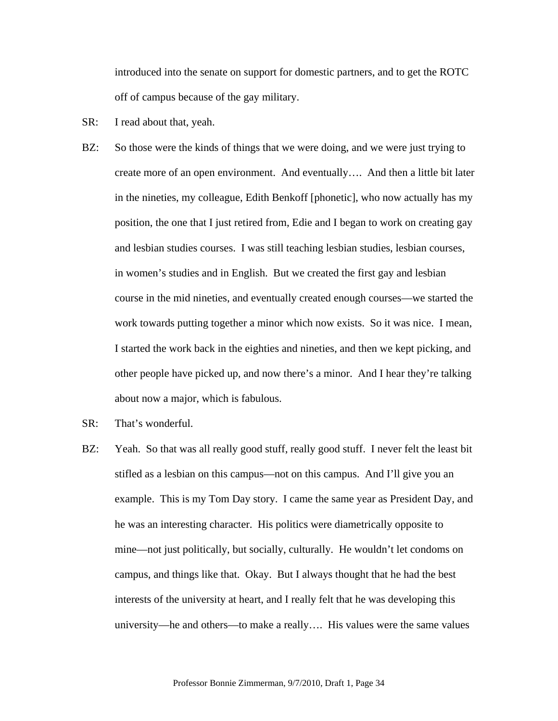introduced into the senate on support for domestic partners, and to get the ROTC off of campus because of the gay military.

- SR: I read about that, yeah.
- BZ: So those were the kinds of things that we were doing, and we were just trying to create more of an open environment. And eventually…. And then a little bit later in the nineties, my colleague, Edith Benkoff [phonetic], who now actually has my position, the one that I just retired from, Edie and I began to work on creating gay and lesbian studies courses. I was still teaching lesbian studies, lesbian courses, in women's studies and in English. But we created the first gay and lesbian course in the mid nineties, and eventually created enough courses—we started the work towards putting together a minor which now exists. So it was nice. I mean, I started the work back in the eighties and nineties, and then we kept picking, and other people have picked up, and now there's a minor. And I hear they're talking about now a major, which is fabulous.
- SR: That's wonderful.
- BZ: Yeah. So that was all really good stuff, really good stuff. I never felt the least bit stifled as a lesbian on this campus—not on this campus. And I'll give you an example. This is my Tom Day story. I came the same year as President Day, and he was an interesting character. His politics were diametrically opposite to mine—not just politically, but socially, culturally. He wouldn't let condoms on campus, and things like that. Okay. But I always thought that he had the best interests of the university at heart, and I really felt that he was developing this university—he and others—to make a really…. His values were the same values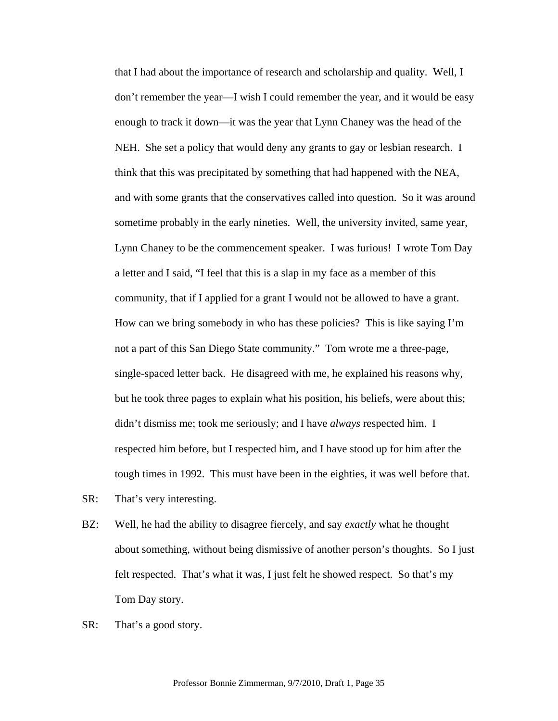that I had about the importance of research and scholarship and quality. Well, I don't remember the year—I wish I could remember the year, and it would be easy enough to track it down—it was the year that Lynn Chaney was the head of the NEH. She set a policy that would deny any grants to gay or lesbian research. I think that this was precipitated by something that had happened with the NEA, and with some grants that the conservatives called into question. So it was around sometime probably in the early nineties. Well, the university invited, same year, Lynn Chaney to be the commencement speaker. I was furious! I wrote Tom Day a letter and I said, "I feel that this is a slap in my face as a member of this community, that if I applied for a grant I would not be allowed to have a grant. How can we bring somebody in who has these policies? This is like saying I'm not a part of this San Diego State community." Tom wrote me a three-page, single-spaced letter back. He disagreed with me, he explained his reasons why, but he took three pages to explain what his position, his beliefs, were about this; didn't dismiss me; took me seriously; and I have *always* respected him. I respected him before, but I respected him, and I have stood up for him after the tough times in 1992. This must have been in the eighties, it was well before that.

- SR: That's very interesting.
- BZ: Well, he had the ability to disagree fiercely, and say *exactly* what he thought about something, without being dismissive of another person's thoughts. So I just felt respected. That's what it was, I just felt he showed respect. So that's my Tom Day story.
- SR: That's a good story.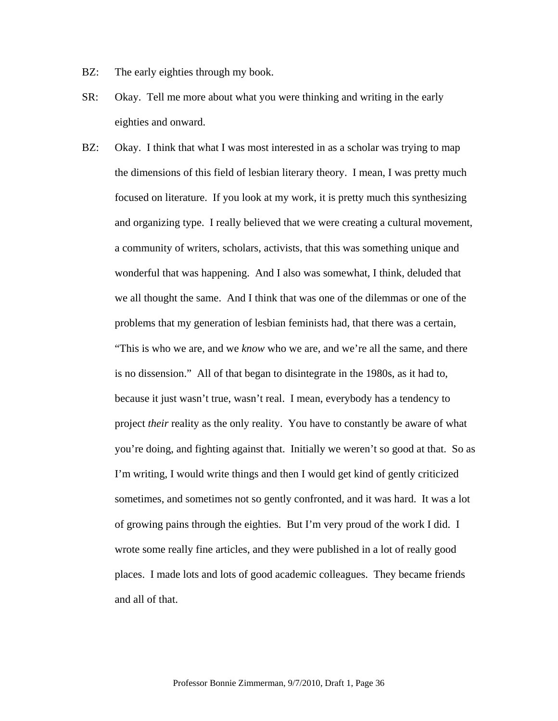- BZ: The early eighties through my book.
- SR: Okay. Tell me more about what you were thinking and writing in the early eighties and onward.
- BZ: Okay. I think that what I was most interested in as a scholar was trying to map the dimensions of this field of lesbian literary theory. I mean, I was pretty much focused on literature. If you look at my work, it is pretty much this synthesizing and organizing type. I really believed that we were creating a cultural movement, a community of writers, scholars, activists, that this was something unique and wonderful that was happening. And I also was somewhat, I think, deluded that we all thought the same. And I think that was one of the dilemmas or one of the problems that my generation of lesbian feminists had, that there was a certain, "This is who we are, and we *know* who we are, and we're all the same, and there is no dissension." All of that began to disintegrate in the 1980s, as it had to, because it just wasn't true, wasn't real. I mean, everybody has a tendency to project *their* reality as the only reality. You have to constantly be aware of what you're doing, and fighting against that. Initially we weren't so good at that. So as I'm writing, I would write things and then I would get kind of gently criticized sometimes, and sometimes not so gently confronted, and it was hard. It was a lot of growing pains through the eighties. But I'm very proud of the work I did. I wrote some really fine articles, and they were published in a lot of really good places. I made lots and lots of good academic colleagues. They became friends and all of that.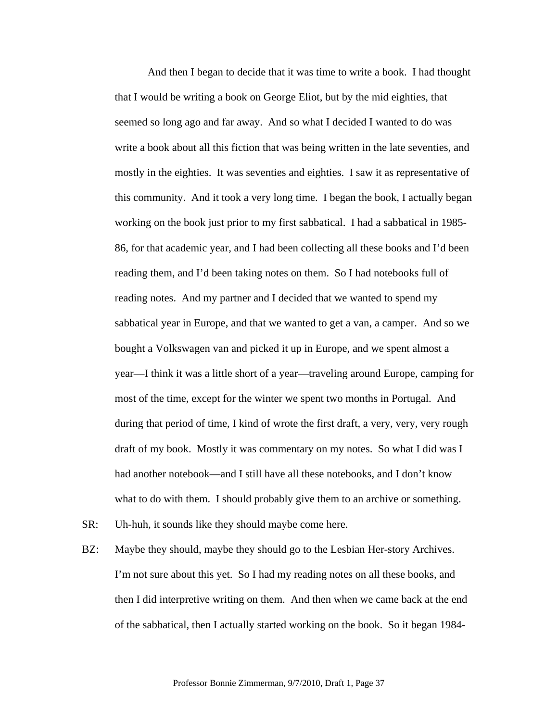And then I began to decide that it was time to write a book. I had thought that I would be writing a book on George Eliot, but by the mid eighties, that seemed so long ago and far away. And so what I decided I wanted to do was write a book about all this fiction that was being written in the late seventies, and mostly in the eighties. It was seventies and eighties. I saw it as representative of this community. And it took a very long time. I began the book, I actually began working on the book just prior to my first sabbatical. I had a sabbatical in 1985- 86, for that academic year, and I had been collecting all these books and I'd been reading them, and I'd been taking notes on them. So I had notebooks full of reading notes. And my partner and I decided that we wanted to spend my sabbatical year in Europe, and that we wanted to get a van, a camper. And so we bought a Volkswagen van and picked it up in Europe, and we spent almost a year—I think it was a little short of a year—traveling around Europe, camping for most of the time, except for the winter we spent two months in Portugal. And during that period of time, I kind of wrote the first draft, a very, very, very rough draft of my book. Mostly it was commentary on my notes. So what I did was I had another notebook—and I still have all these notebooks, and I don't know what to do with them. I should probably give them to an archive or something.

- SR: Uh-huh, it sounds like they should maybe come here.
- BZ: Maybe they should, maybe they should go to the Lesbian Her-story Archives. I'm not sure about this yet. So I had my reading notes on all these books, and then I did interpretive writing on them. And then when we came back at the end of the sabbatical, then I actually started working on the book. So it began 1984-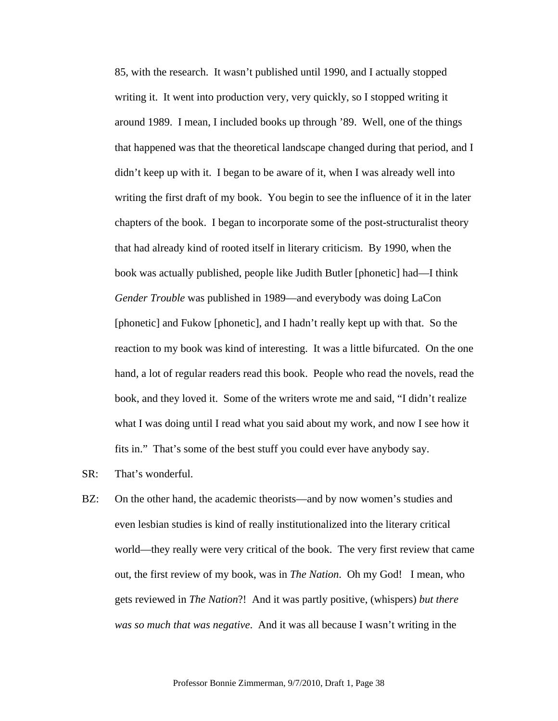85, with the research. It wasn't published until 1990, and I actually stopped writing it. It went into production very, very quickly, so I stopped writing it around 1989. I mean, I included books up through '89. Well, one of the things that happened was that the theoretical landscape changed during that period, and I didn't keep up with it. I began to be aware of it, when I was already well into writing the first draft of my book. You begin to see the influence of it in the later chapters of the book. I began to incorporate some of the post-structuralist theory that had already kind of rooted itself in literary criticism. By 1990, when the book was actually published, people like Judith Butler [phonetic] had—I think *Gender Trouble* was published in 1989—and everybody was doing LaCon [phonetic] and Fukow [phonetic], and I hadn't really kept up with that. So the reaction to my book was kind of interesting. It was a little bifurcated. On the one hand, a lot of regular readers read this book. People who read the novels, read the book, and they loved it. Some of the writers wrote me and said, "I didn't realize what I was doing until I read what you said about my work, and now I see how it fits in." That's some of the best stuff you could ever have anybody say.

- SR: That's wonderful.
- BZ: On the other hand, the academic theorists—and by now women's studies and even lesbian studies is kind of really institutionalized into the literary critical world—they really were very critical of the book. The very first review that came out, the first review of my book, was in *The Nation*. Oh my God! I mean, who gets reviewed in *The Nation*?! And it was partly positive, (whispers) *but there was so much that was negative*. And it was all because I wasn't writing in the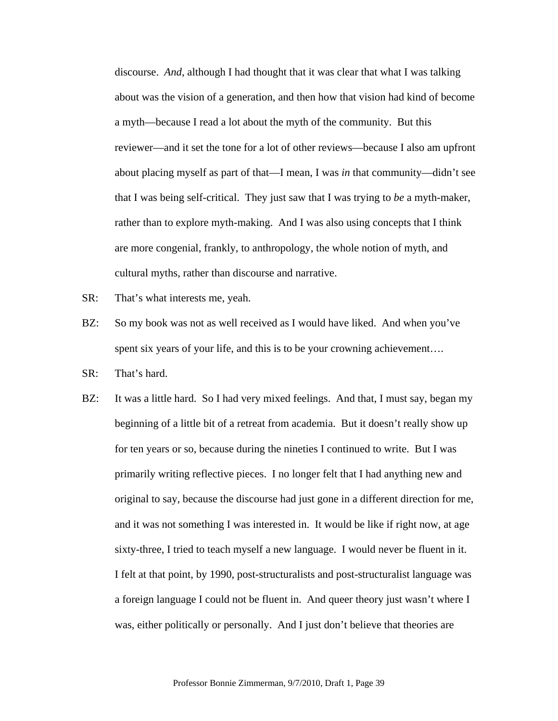discourse. *And*, although I had thought that it was clear that what I was talking about was the vision of a generation, and then how that vision had kind of become a myth—because I read a lot about the myth of the community. But this reviewer—and it set the tone for a lot of other reviews—because I also am upfront about placing myself as part of that—I mean, I was *in* that community—didn't see that I was being self-critical. They just saw that I was trying to *be* a myth-maker, rather than to explore myth-making. And I was also using concepts that I think are more congenial, frankly, to anthropology, the whole notion of myth, and cultural myths, rather than discourse and narrative.

- SR: That's what interests me, yeah.
- BZ: So my book was not as well received as I would have liked. And when you've spent six years of your life, and this is to be your crowning achievement....

SR: That's hard.

BZ: It was a little hard. So I had very mixed feelings. And that, I must say, began my beginning of a little bit of a retreat from academia. But it doesn't really show up for ten years or so, because during the nineties I continued to write. But I was primarily writing reflective pieces. I no longer felt that I had anything new and original to say, because the discourse had just gone in a different direction for me, and it was not something I was interested in. It would be like if right now, at age sixty-three, I tried to teach myself a new language. I would never be fluent in it. I felt at that point, by 1990, post-structuralists and post-structuralist language was a foreign language I could not be fluent in. And queer theory just wasn't where I was, either politically or personally. And I just don't believe that theories are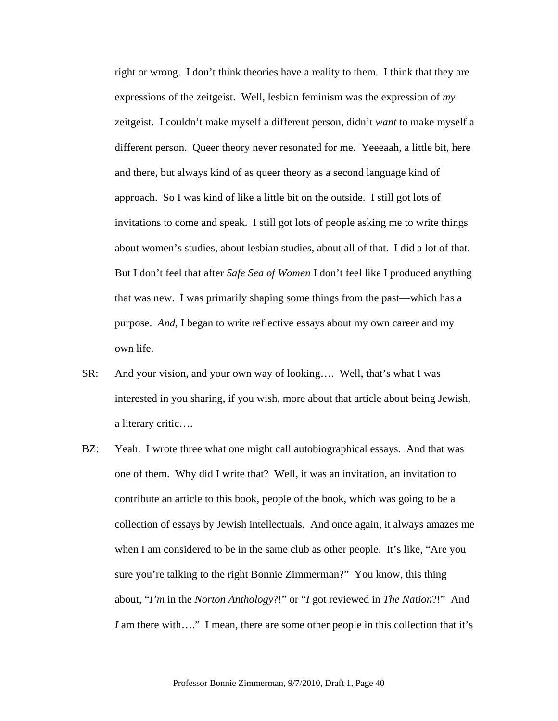right or wrong. I don't think theories have a reality to them. I think that they are expressions of the zeitgeist. Well, lesbian feminism was the expression of *my* zeitgeist. I couldn't make myself a different person, didn't *want* to make myself a different person. Queer theory never resonated for me. Yeeeaah, a little bit, here and there, but always kind of as queer theory as a second language kind of approach. So I was kind of like a little bit on the outside. I still got lots of invitations to come and speak. I still got lots of people asking me to write things about women's studies, about lesbian studies, about all of that. I did a lot of that. But I don't feel that after *Safe Sea of Women* I don't feel like I produced anything that was new. I was primarily shaping some things from the past—which has a purpose. *And*, I began to write reflective essays about my own career and my own life.

- SR: And your vision, and your own way of looking…. Well, that's what I was interested in you sharing, if you wish, more about that article about being Jewish, a literary critic….
- BZ: Yeah. I wrote three what one might call autobiographical essays. And that was one of them. Why did I write that? Well, it was an invitation, an invitation to contribute an article to this book, people of the book, which was going to be a collection of essays by Jewish intellectuals. And once again, it always amazes me when I am considered to be in the same club as other people. It's like, "Are you sure you're talking to the right Bonnie Zimmerman?" You know, this thing about, "*I'm* in the *Norton Anthology*?!" or "*I* got reviewed in *The Nation*?!" And *I* am there with...." I mean, there are some other people in this collection that it's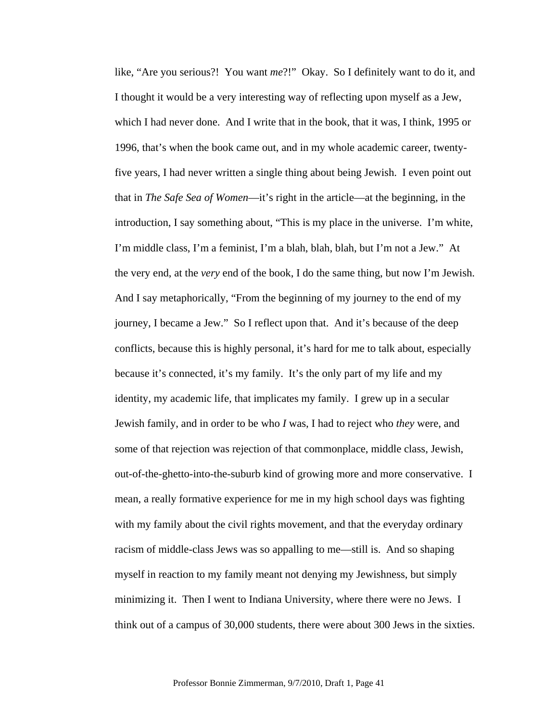like, "Are you serious?! You want *me*?!" Okay. So I definitely want to do it, and I thought it would be a very interesting way of reflecting upon myself as a Jew, which I had never done. And I write that in the book, that it was, I think, 1995 or 1996, that's when the book came out, and in my whole academic career, twentyfive years, I had never written a single thing about being Jewish. I even point out that in *The Safe Sea of Women*—it's right in the article—at the beginning, in the introduction, I say something about, "This is my place in the universe. I'm white, I'm middle class, I'm a feminist, I'm a blah, blah, blah, but I'm not a Jew." At the very end, at the *very* end of the book, I do the same thing, but now I'm Jewish. And I say metaphorically, "From the beginning of my journey to the end of my journey, I became a Jew." So I reflect upon that. And it's because of the deep conflicts, because this is highly personal, it's hard for me to talk about, especially because it's connected, it's my family. It's the only part of my life and my identity, my academic life, that implicates my family. I grew up in a secular Jewish family, and in order to be who *I* was, I had to reject who *they* were, and some of that rejection was rejection of that commonplace, middle class, Jewish, out-of-the-ghetto-into-the-suburb kind of growing more and more conservative. I mean, a really formative experience for me in my high school days was fighting with my family about the civil rights movement, and that the everyday ordinary racism of middle-class Jews was so appalling to me—still is. And so shaping myself in reaction to my family meant not denying my Jewishness, but simply minimizing it. Then I went to Indiana University, where there were no Jews. I think out of a campus of 30,000 students, there were about 300 Jews in the sixties.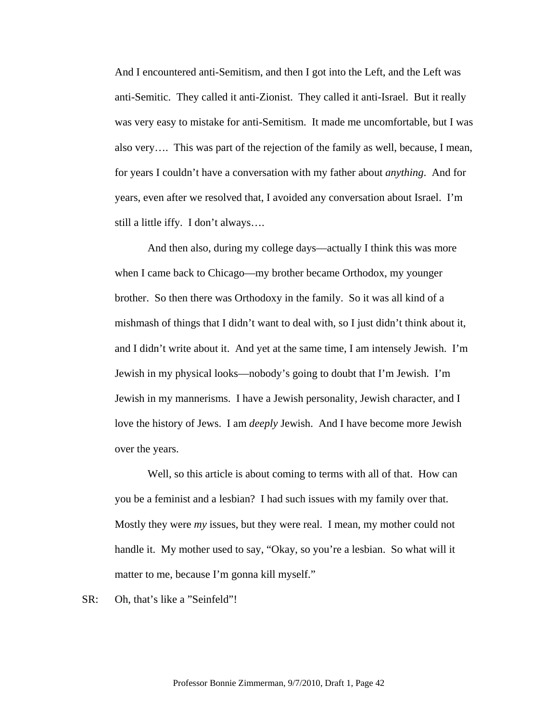And I encountered anti-Semitism, and then I got into the Left, and the Left was anti-Semitic. They called it anti-Zionist. They called it anti-Israel. But it really was very easy to mistake for anti-Semitism. It made me uncomfortable, but I was also very…. This was part of the rejection of the family as well, because, I mean, for years I couldn't have a conversation with my father about *anything*. And for years, even after we resolved that, I avoided any conversation about Israel. I'm still a little iffy. I don't always….

 And then also, during my college days—actually I think this was more when I came back to Chicago—my brother became Orthodox, my younger brother. So then there was Orthodoxy in the family. So it was all kind of a mishmash of things that I didn't want to deal with, so I just didn't think about it, and I didn't write about it. And yet at the same time, I am intensely Jewish. I'm Jewish in my physical looks—nobody's going to doubt that I'm Jewish. I'm Jewish in my mannerisms. I have a Jewish personality, Jewish character, and I love the history of Jews. I am *deeply* Jewish. And I have become more Jewish over the years.

 Well, so this article is about coming to terms with all of that. How can you be a feminist and a lesbian? I had such issues with my family over that. Mostly they were *my* issues, but they were real. I mean, my mother could not handle it. My mother used to say, "Okay, so you're a lesbian. So what will it matter to me, because I'm gonna kill myself."

SR: Oh, that's like a "Seinfeld"!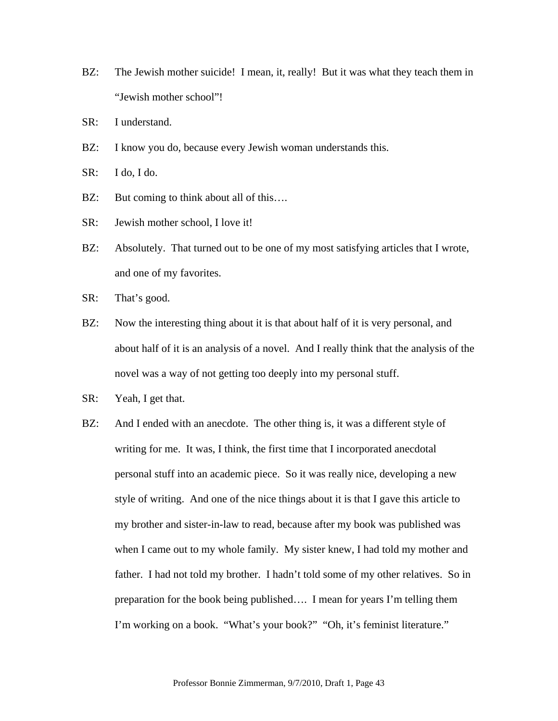- BZ: The Jewish mother suicide! I mean, it, really! But it was what they teach them in "Jewish mother school"!
- SR: I understand.
- BZ: I know you do, because every Jewish woman understands this.
- SR: I do, I do.
- BZ: But coming to think about all of this....
- SR: Jewish mother school, I love it!
- BZ: Absolutely. That turned out to be one of my most satisfying articles that I wrote, and one of my favorites.
- SR: That's good.
- BZ: Now the interesting thing about it is that about half of it is very personal, and about half of it is an analysis of a novel. And I really think that the analysis of the novel was a way of not getting too deeply into my personal stuff.
- SR: Yeah, I get that.
- BZ: And I ended with an anecdote. The other thing is, it was a different style of writing for me. It was, I think, the first time that I incorporated anecdotal personal stuff into an academic piece. So it was really nice, developing a new style of writing. And one of the nice things about it is that I gave this article to my brother and sister-in-law to read, because after my book was published was when I came out to my whole family. My sister knew, I had told my mother and father. I had not told my brother. I hadn't told some of my other relatives. So in preparation for the book being published…. I mean for years I'm telling them I'm working on a book. "What's your book?" "Oh, it's feminist literature."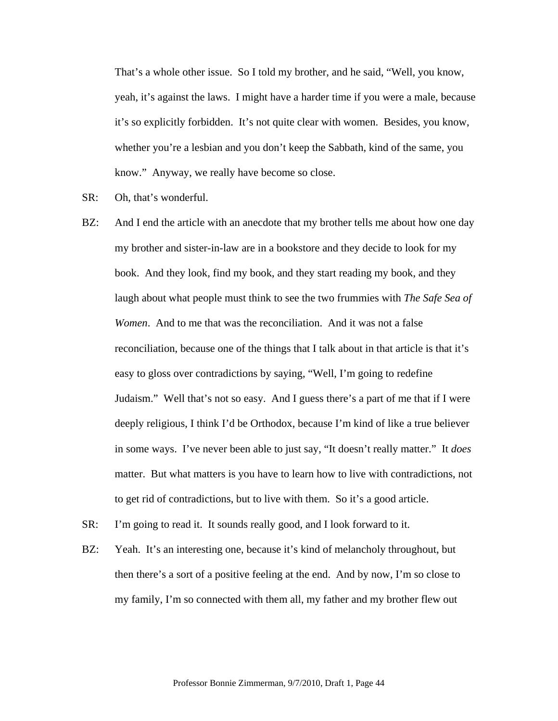That's a whole other issue. So I told my brother, and he said, "Well, you know, yeah, it's against the laws. I might have a harder time if you were a male, because it's so explicitly forbidden. It's not quite clear with women. Besides, you know, whether you're a lesbian and you don't keep the Sabbath, kind of the same, you know." Anyway, we really have become so close.

- SR: Oh, that's wonderful.
- BZ: And I end the article with an anecdote that my brother tells me about how one day my brother and sister-in-law are in a bookstore and they decide to look for my book. And they look, find my book, and they start reading my book, and they laugh about what people must think to see the two frummies with *The Safe Sea of Women*. And to me that was the reconciliation. And it was not a false reconciliation, because one of the things that I talk about in that article is that it's easy to gloss over contradictions by saying, "Well, I'm going to redefine Judaism." Well that's not so easy. And I guess there's a part of me that if I were deeply religious, I think I'd be Orthodox, because I'm kind of like a true believer in some ways. I've never been able to just say, "It doesn't really matter." It *does* matter. But what matters is you have to learn how to live with contradictions, not to get rid of contradictions, but to live with them. So it's a good article.
- SR: I'm going to read it. It sounds really good, and I look forward to it.
- BZ: Yeah. It's an interesting one, because it's kind of melancholy throughout, but then there's a sort of a positive feeling at the end. And by now, I'm so close to my family, I'm so connected with them all, my father and my brother flew out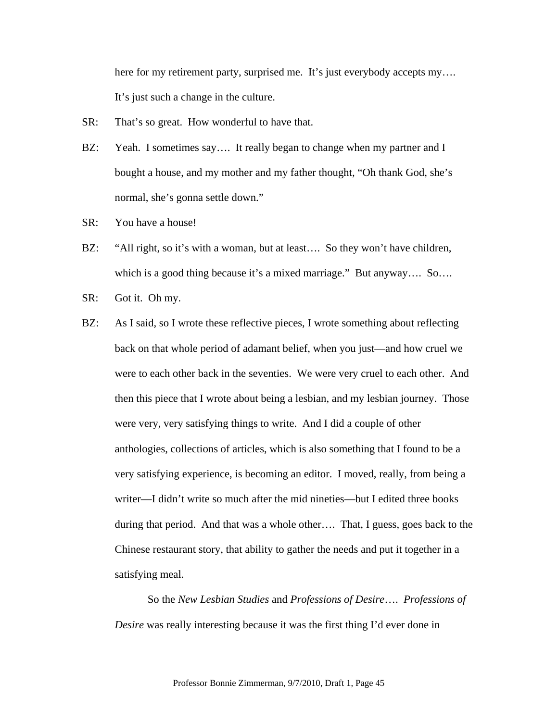here for my retirement party, surprised me. It's just everybody accepts my.... It's just such a change in the culture.

- SR: That's so great. How wonderful to have that.
- BZ: Yeah. I sometimes say.... It really began to change when my partner and I bought a house, and my mother and my father thought, "Oh thank God, she's normal, she's gonna settle down."
- SR: You have a house!
- BZ: "All right, so it's with a woman, but at least.... So they won't have children, which is a good thing because it's a mixed marriage." But anyway.... So....
- SR: Got it. Oh my.
- BZ: As I said, so I wrote these reflective pieces, I wrote something about reflecting back on that whole period of adamant belief, when you just—and how cruel we were to each other back in the seventies. We were very cruel to each other. And then this piece that I wrote about being a lesbian, and my lesbian journey. Those were very, very satisfying things to write. And I did a couple of other anthologies, collections of articles, which is also something that I found to be a very satisfying experience, is becoming an editor. I moved, really, from being a writer—I didn't write so much after the mid nineties—but I edited three books during that period. And that was a whole other…. That, I guess, goes back to the Chinese restaurant story, that ability to gather the needs and put it together in a satisfying meal.

So the *New Lesbian Studies* and *Professions of Desire*…. *Professions of Desire* was really interesting because it was the first thing I'd ever done in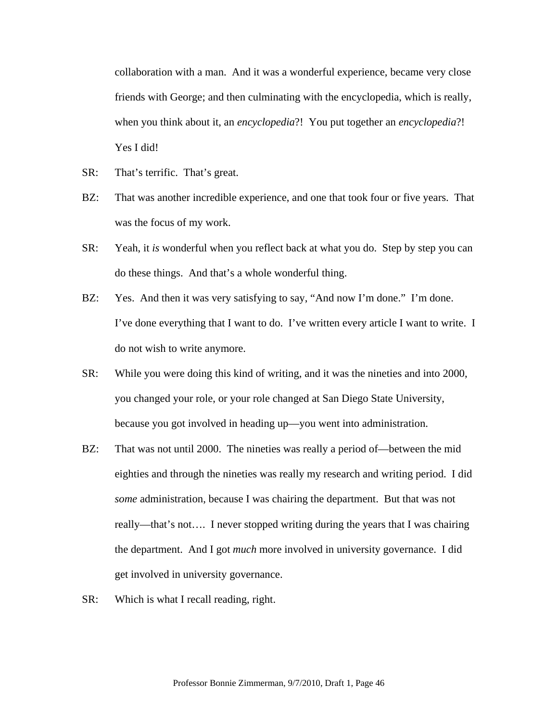collaboration with a man. And it was a wonderful experience, became very close friends with George; and then culminating with the encyclopedia, which is really, when you think about it, an *encyclopedia*?! You put together an *encyclopedia*?! Yes I did!

- SR: That's terrific. That's great.
- BZ: That was another incredible experience, and one that took four or five years. That was the focus of my work.
- SR: Yeah, it *is* wonderful when you reflect back at what you do. Step by step you can do these things. And that's a whole wonderful thing.
- BZ: Yes. And then it was very satisfying to say, "And now I'm done." I'm done. I've done everything that I want to do. I've written every article I want to write. I do not wish to write anymore.
- SR: While you were doing this kind of writing, and it was the nineties and into 2000, you changed your role, or your role changed at San Diego State University, because you got involved in heading up—you went into administration.
- BZ: That was not until 2000. The nineties was really a period of—between the mid eighties and through the nineties was really my research and writing period. I did *some* administration, because I was chairing the department. But that was not really—that's not…. I never stopped writing during the years that I was chairing the department. And I got *much* more involved in university governance. I did get involved in university governance.
- SR: Which is what I recall reading, right.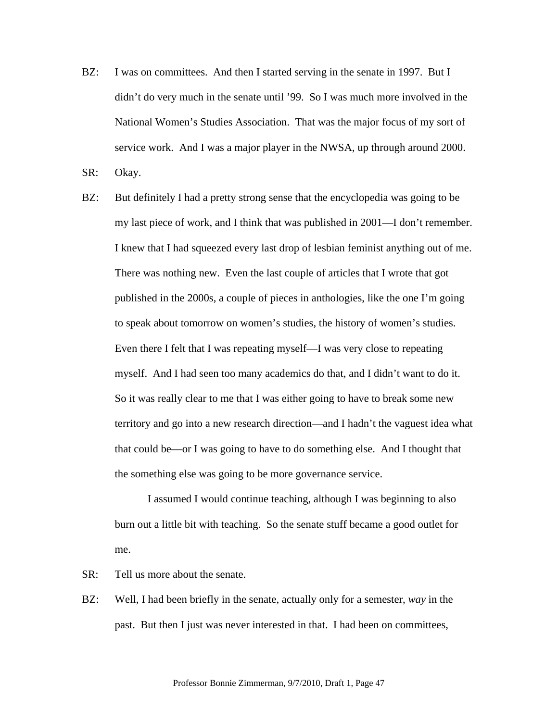BZ: I was on committees. And then I started serving in the senate in 1997. But I didn't do very much in the senate until '99. So I was much more involved in the National Women's Studies Association. That was the major focus of my sort of service work. And I was a major player in the NWSA, up through around 2000.

SR: Okay.

BZ: But definitely I had a pretty strong sense that the encyclopedia was going to be my last piece of work, and I think that was published in 2001—I don't remember. I knew that I had squeezed every last drop of lesbian feminist anything out of me. There was nothing new. Even the last couple of articles that I wrote that got published in the 2000s, a couple of pieces in anthologies, like the one I'm going to speak about tomorrow on women's studies, the history of women's studies. Even there I felt that I was repeating myself—I was very close to repeating myself. And I had seen too many academics do that, and I didn't want to do it. So it was really clear to me that I was either going to have to break some new territory and go into a new research direction—and I hadn't the vaguest idea what that could be—or I was going to have to do something else. And I thought that the something else was going to be more governance service.

 I assumed I would continue teaching, although I was beginning to also burn out a little bit with teaching. So the senate stuff became a good outlet for me.

SR: Tell us more about the senate.

BZ: Well, I had been briefly in the senate, actually only for a semester, *way* in the past. But then I just was never interested in that. I had been on committees,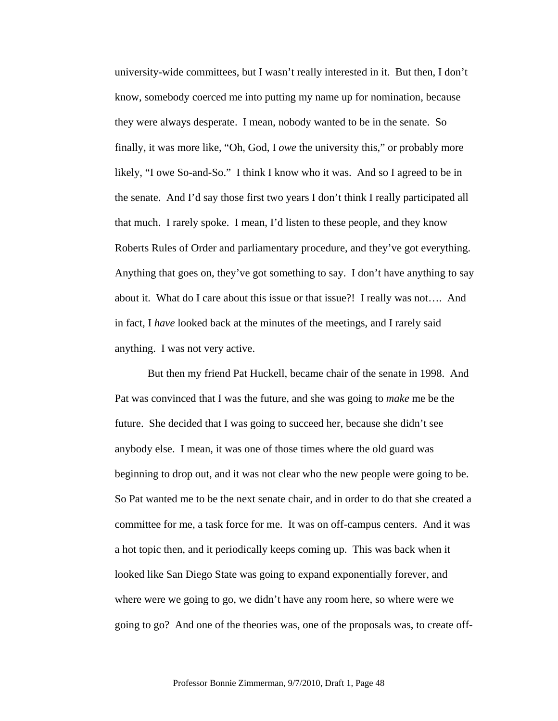university-wide committees, but I wasn't really interested in it. But then, I don't know, somebody coerced me into putting my name up for nomination, because they were always desperate. I mean, nobody wanted to be in the senate. So finally, it was more like, "Oh, God, I *owe* the university this," or probably more likely, "I owe So-and-So." I think I know who it was. And so I agreed to be in the senate. And I'd say those first two years I don't think I really participated all that much. I rarely spoke. I mean, I'd listen to these people, and they know Roberts Rules of Order and parliamentary procedure, and they've got everything. Anything that goes on, they've got something to say. I don't have anything to say about it. What do I care about this issue or that issue?! I really was not…. And in fact, I *have* looked back at the minutes of the meetings, and I rarely said anything. I was not very active.

 But then my friend Pat Huckell, became chair of the senate in 1998. And Pat was convinced that I was the future, and she was going to *make* me be the future. She decided that I was going to succeed her, because she didn't see anybody else. I mean, it was one of those times where the old guard was beginning to drop out, and it was not clear who the new people were going to be. So Pat wanted me to be the next senate chair, and in order to do that she created a committee for me, a task force for me. It was on off-campus centers. And it was a hot topic then, and it periodically keeps coming up. This was back when it looked like San Diego State was going to expand exponentially forever, and where were we going to go, we didn't have any room here, so where were we going to go? And one of the theories was, one of the proposals was, to create off-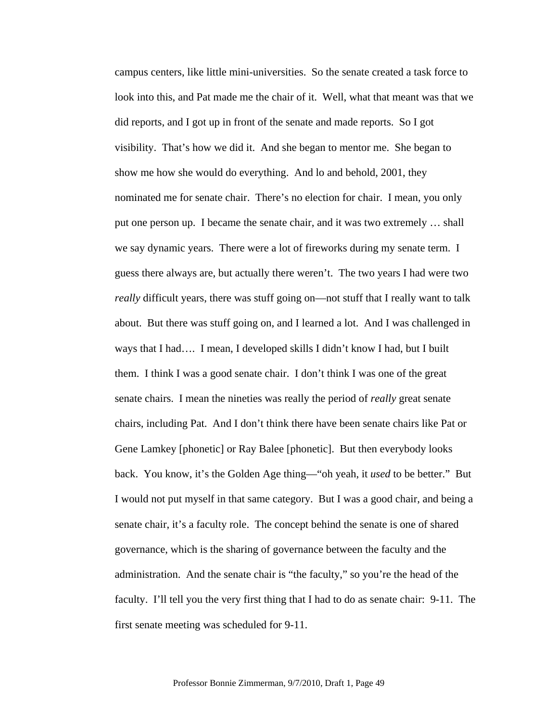campus centers, like little mini-universities. So the senate created a task force to look into this, and Pat made me the chair of it. Well, what that meant was that we did reports, and I got up in front of the senate and made reports. So I got visibility. That's how we did it. And she began to mentor me. She began to show me how she would do everything. And lo and behold, 2001, they nominated me for senate chair. There's no election for chair. I mean, you only put one person up. I became the senate chair, and it was two extremely … shall we say dynamic years. There were a lot of fireworks during my senate term. I guess there always are, but actually there weren't. The two years I had were two *really* difficult years, there was stuff going on—not stuff that I really want to talk about. But there was stuff going on, and I learned a lot. And I was challenged in ways that I had…. I mean, I developed skills I didn't know I had, but I built them. I think I was a good senate chair. I don't think I was one of the great senate chairs. I mean the nineties was really the period of *really* great senate chairs, including Pat. And I don't think there have been senate chairs like Pat or Gene Lamkey [phonetic] or Ray Balee [phonetic]. But then everybody looks back. You know, it's the Golden Age thing—"oh yeah, it *used* to be better." But I would not put myself in that same category. But I was a good chair, and being a senate chair, it's a faculty role. The concept behind the senate is one of shared governance, which is the sharing of governance between the faculty and the administration. And the senate chair is "the faculty," so you're the head of the faculty. I'll tell you the very first thing that I had to do as senate chair: 9-11. The first senate meeting was scheduled for 9-11.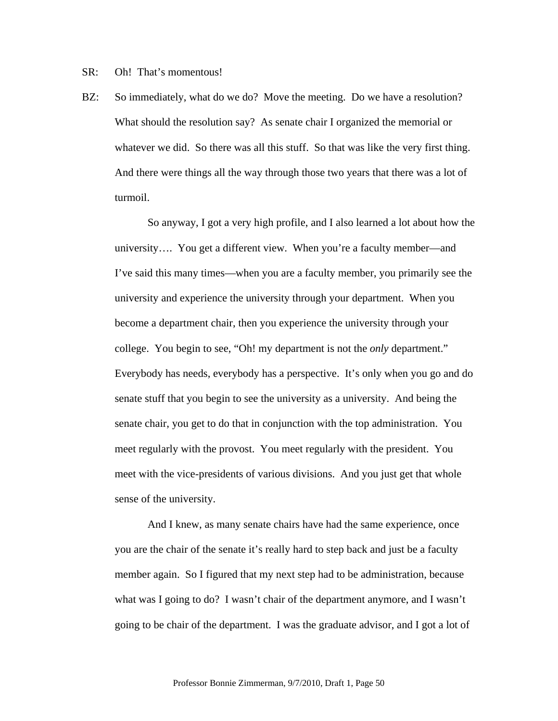SR: Oh! That's momentous!

BZ: So immediately, what do we do? Move the meeting. Do we have a resolution? What should the resolution say? As senate chair I organized the memorial or whatever we did. So there was all this stuff. So that was like the very first thing. And there were things all the way through those two years that there was a lot of turmoil.

 So anyway, I got a very high profile, and I also learned a lot about how the university…. You get a different view. When you're a faculty member—and I've said this many times—when you are a faculty member, you primarily see the university and experience the university through your department. When you become a department chair, then you experience the university through your college. You begin to see, "Oh! my department is not the *only* department." Everybody has needs, everybody has a perspective. It's only when you go and do senate stuff that you begin to see the university as a university. And being the senate chair, you get to do that in conjunction with the top administration. You meet regularly with the provost. You meet regularly with the president. You meet with the vice-presidents of various divisions. And you just get that whole sense of the university.

And I knew, as many senate chairs have had the same experience, once you are the chair of the senate it's really hard to step back and just be a faculty member again. So I figured that my next step had to be administration, because what was I going to do? I wasn't chair of the department anymore, and I wasn't going to be chair of the department. I was the graduate advisor, and I got a lot of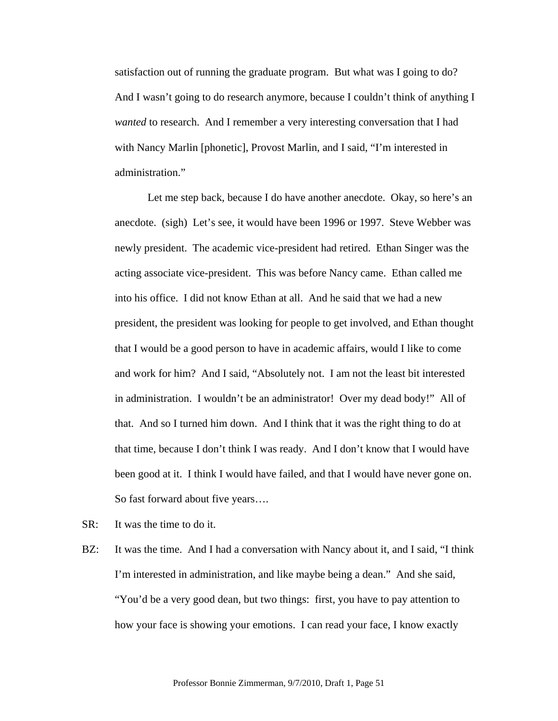satisfaction out of running the graduate program. But what was I going to do? And I wasn't going to do research anymore, because I couldn't think of anything I *wanted* to research. And I remember a very interesting conversation that I had with Nancy Marlin [phonetic], Provost Marlin, and I said, "I'm interested in administration."

 Let me step back, because I do have another anecdote. Okay, so here's an anecdote. (sigh) Let's see, it would have been 1996 or 1997. Steve Webber was newly president. The academic vice-president had retired. Ethan Singer was the acting associate vice-president. This was before Nancy came. Ethan called me into his office. I did not know Ethan at all. And he said that we had a new president, the president was looking for people to get involved, and Ethan thought that I would be a good person to have in academic affairs, would I like to come and work for him? And I said, "Absolutely not. I am not the least bit interested in administration. I wouldn't be an administrator! Over my dead body!" All of that. And so I turned him down. And I think that it was the right thing to do at that time, because I don't think I was ready. And I don't know that I would have been good at it. I think I would have failed, and that I would have never gone on. So fast forward about five years….

- SR: It was the time to do it.
- BZ: It was the time. And I had a conversation with Nancy about it, and I said, "I think I'm interested in administration, and like maybe being a dean." And she said, "You'd be a very good dean, but two things: first, you have to pay attention to how your face is showing your emotions. I can read your face, I know exactly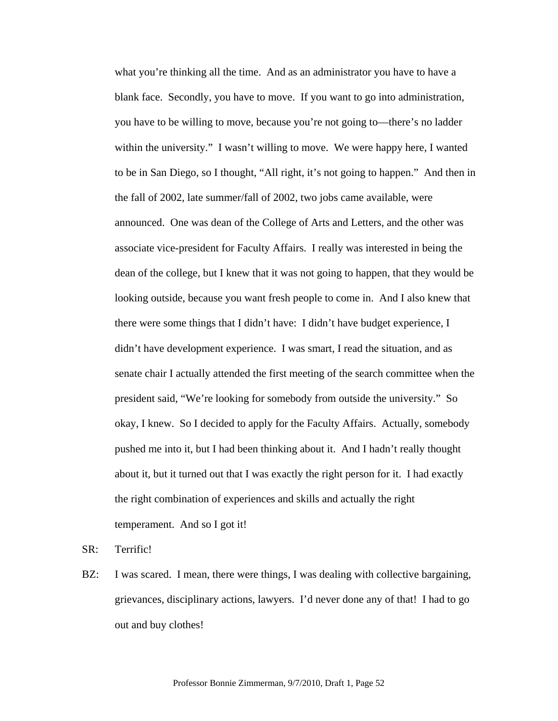what you're thinking all the time. And as an administrator you have to have a blank face. Secondly, you have to move. If you want to go into administration, you have to be willing to move, because you're not going to—there's no ladder within the university." I wasn't willing to move. We were happy here, I wanted to be in San Diego, so I thought, "All right, it's not going to happen." And then in the fall of 2002, late summer/fall of 2002, two jobs came available, were announced. One was dean of the College of Arts and Letters, and the other was associate vice-president for Faculty Affairs. I really was interested in being the dean of the college, but I knew that it was not going to happen, that they would be looking outside, because you want fresh people to come in. And I also knew that there were some things that I didn't have: I didn't have budget experience, I didn't have development experience. I was smart, I read the situation, and as senate chair I actually attended the first meeting of the search committee when the president said, "We're looking for somebody from outside the university." So okay, I knew. So I decided to apply for the Faculty Affairs. Actually, somebody pushed me into it, but I had been thinking about it. And I hadn't really thought about it, but it turned out that I was exactly the right person for it. I had exactly the right combination of experiences and skills and actually the right temperament. And so I got it!

SR: Terrific!

BZ: I was scared. I mean, there were things, I was dealing with collective bargaining, grievances, disciplinary actions, lawyers. I'd never done any of that! I had to go out and buy clothes!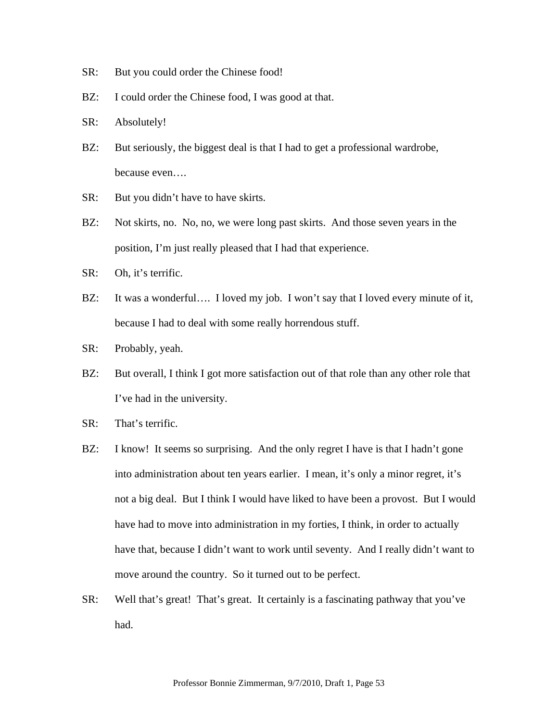- SR: But you could order the Chinese food!
- BZ: I could order the Chinese food, I was good at that.
- SR: Absolutely!
- BZ: But seriously, the biggest deal is that I had to get a professional wardrobe, because even….
- SR: But you didn't have to have skirts.
- BZ: Not skirts, no. No, no, we were long past skirts. And those seven years in the position, I'm just really pleased that I had that experience.
- SR: Oh, it's terrific.
- BZ: It was a wonderful.... I loved my job. I won't say that I loved every minute of it, because I had to deal with some really horrendous stuff.
- SR: Probably, yeah.
- BZ: But overall, I think I got more satisfaction out of that role than any other role that I've had in the university.
- SR: That's terrific.
- BZ: I know! It seems so surprising. And the only regret I have is that I hadn't gone into administration about ten years earlier. I mean, it's only a minor regret, it's not a big deal. But I think I would have liked to have been a provost. But I would have had to move into administration in my forties, I think, in order to actually have that, because I didn't want to work until seventy. And I really didn't want to move around the country. So it turned out to be perfect.
- SR: Well that's great! That's great. It certainly is a fascinating pathway that you've had.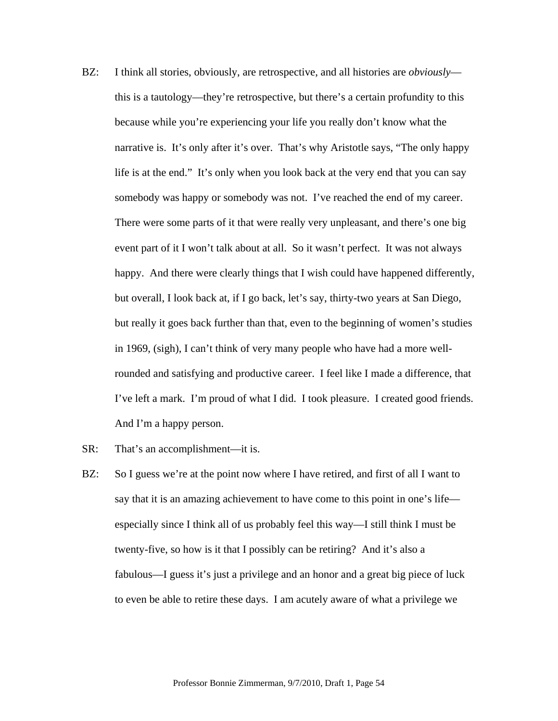- BZ: I think all stories, obviously, are retrospective, and all histories are *obviously* this is a tautology—they're retrospective, but there's a certain profundity to this because while you're experiencing your life you really don't know what the narrative is. It's only after it's over. That's why Aristotle says, "The only happy life is at the end." It's only when you look back at the very end that you can say somebody was happy or somebody was not. I've reached the end of my career. There were some parts of it that were really very unpleasant, and there's one big event part of it I won't talk about at all. So it wasn't perfect. It was not always happy. And there were clearly things that I wish could have happened differently, but overall, I look back at, if I go back, let's say, thirty-two years at San Diego, but really it goes back further than that, even to the beginning of women's studies in 1969, (sigh), I can't think of very many people who have had a more wellrounded and satisfying and productive career. I feel like I made a difference, that I've left a mark. I'm proud of what I did. I took pleasure. I created good friends. And I'm a happy person.
- SR: That's an accomplishment—it is.
- BZ: So I guess we're at the point now where I have retired, and first of all I want to say that it is an amazing achievement to have come to this point in one's life especially since I think all of us probably feel this way—I still think I must be twenty-five, so how is it that I possibly can be retiring? And it's also a fabulous—I guess it's just a privilege and an honor and a great big piece of luck to even be able to retire these days. I am acutely aware of what a privilege we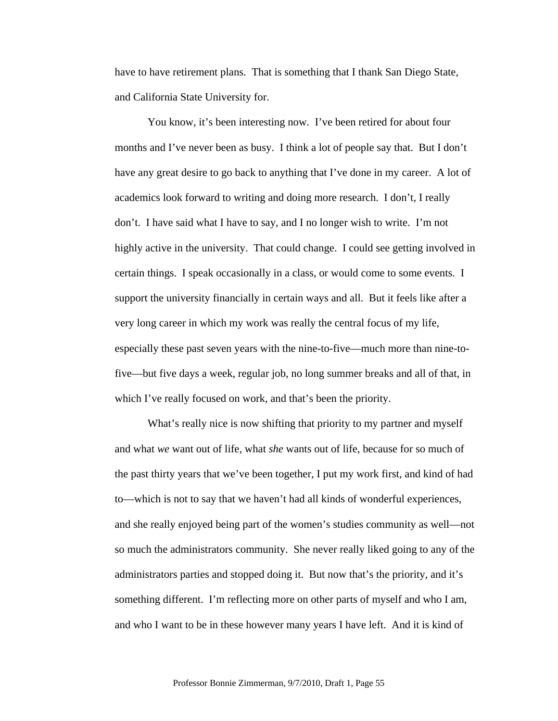have to have retirement plans. That is something that I thank San Diego State, and California State University for.

You know, it's been interesting now. I've been retired for about four months and I've never been as busy. I think a lot of people say that. But I don't have any great desire to go back to anything that I've done in my career. A lot of academics look forward to writing and doing more research. I don't, I really don't. I have said what I have to say, and I no longer wish to write. I'm not highly active in the university. That could change. I could see getting involved in certain things. I speak occasionally in a class, or would come to some events. I support the university financially in certain ways and all. But it feels like after a very long career in which my work was really the central focus of my life, especially these past seven years with the nine-to-five—much more than nine-tofive—but five days a week, regular job, no long summer breaks and all of that, in which I've really focused on work, and that's been the priority.

What's really nice is now shifting that priority to my partner and myself and what *we* want out of life, what *she* wants out of life, because for so much of the past thirty years that we've been together, I put my work first, and kind of had to—which is not to say that we haven't had all kinds of wonderful experiences, and she really enjoyed being part of the women's studies community as well—not so much the administrators community. She never really liked going to any of the administrators parties and stopped doing it. But now that's the priority, and it's something different. I'm reflecting more on other parts of myself and who I am, and who I want to be in these however many years I have left. And it is kind of